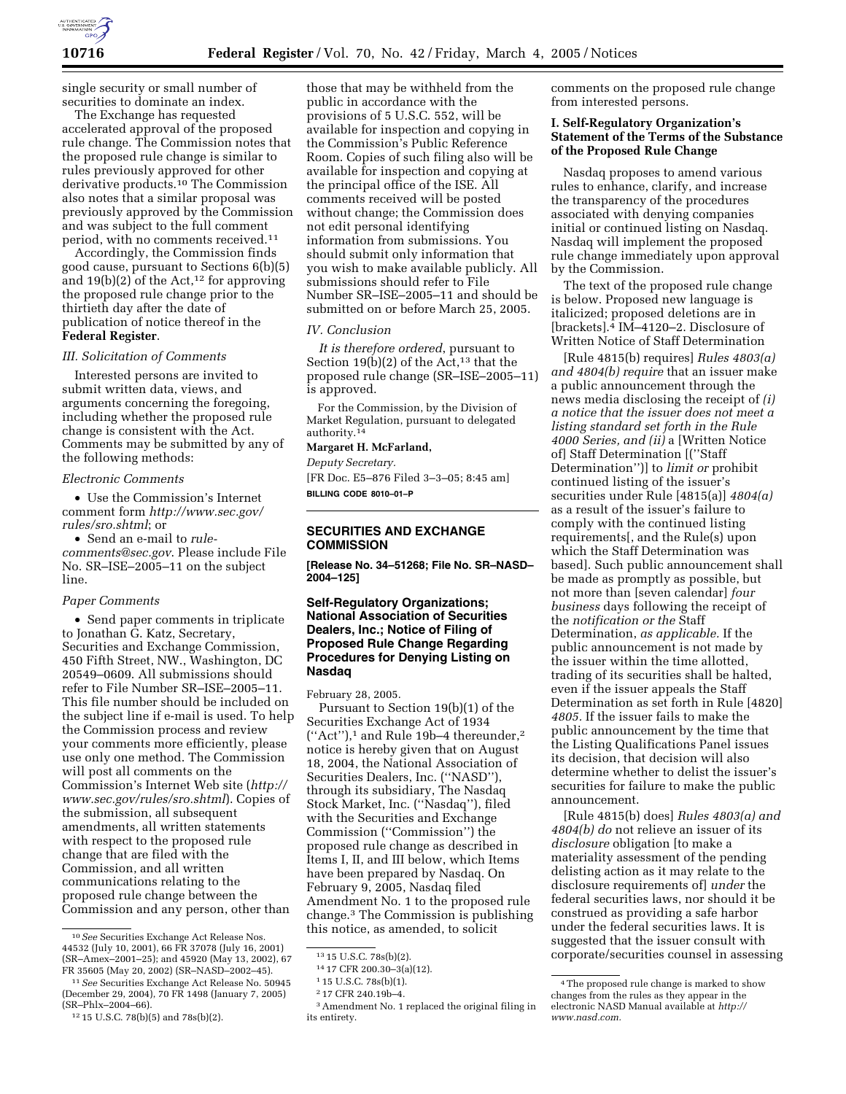single security or small number of securities to dominate an index.

The Exchange has requested accelerated approval of the proposed rule change. The Commission notes that the proposed rule change is similar to rules previously approved for other derivative products.10 The Commission also notes that a similar proposal was previously approved by the Commission and was subject to the full comment period, with no comments received.11

Accordingly, the Commission finds good cause, pursuant to Sections 6(b)(5) and  $19(b)(2)$  of the Act,<sup>12</sup> for approving the proposed rule change prior to the thirtieth day after the date of publication of notice thereof in the **Federal Register**.

#### *III. Solicitation of Comments*

Interested persons are invited to submit written data, views, and arguments concerning the foregoing, including whether the proposed rule change is consistent with the Act. Comments may be submitted by any of the following methods:

# *Electronic Comments*

• Use the Commission's Internet comment form *http://www.sec.gov/ rules/sro.shtml*; or

• Send an e-mail to *rulecomments@sec.gov*. Please include File No. SR–ISE–2005–11 on the subject line.

### *Paper Comments*

• Send paper comments in triplicate to Jonathan G. Katz, Secretary, Securities and Exchange Commission, 450 Fifth Street, NW., Washington, DC 20549–0609. All submissions should refer to File Number SR–ISE–2005–11. This file number should be included on the subject line if e-mail is used. To help the Commission process and review your comments more efficiently, please use only one method. The Commission will post all comments on the Commission's Internet Web site (*http:// www.sec.gov/rules/sro.shtml*). Copies of the submission, all subsequent amendments, all written statements with respect to the proposed rule change that are filed with the Commission, and all written communications relating to the proposed rule change between the Commission and any person, other than

those that may be withheld from the public in accordance with the provisions of 5 U.S.C. 552, will be available for inspection and copying in the Commission's Public Reference Room. Copies of such filing also will be available for inspection and copying at the principal office of the ISE. All comments received will be posted without change; the Commission does not edit personal identifying information from submissions. You should submit only information that you wish to make available publicly. All submissions should refer to File Number SR–ISE–2005–11 and should be submitted on or before March 25, 2005.

#### *IV. Conclusion*

*It is therefore ordered*, pursuant to Section 19(b)(2) of the Act,<sup>13</sup> that the proposed rule change (SR–ISE–2005–11) is approved.

For the Commission, by the Division of Market Regulation, pursuant to delegated authority.14

## **Margaret H. McFarland,**

*Deputy Secretary.* [FR Doc. E5–876 Filed 3–3–05; 8:45 am] **BILLING CODE 8010–01–P**

# **SECURITIES AND EXCHANGE COMMISSION**

**[Release No. 34–51268; File No. SR–NASD– 2004–125]** 

# **Self-Regulatory Organizations; National Association of Securities Dealers, Inc.; Notice of Filing of Proposed Rule Change Regarding Procedures for Denying Listing on Nasdaq**

February 28, 2005.

Pursuant to Section 19(b)(1) of the Securities Exchange Act of 1934 (''Act''),1 and Rule 19b–4 thereunder,2 notice is hereby given that on August 18, 2004, the National Association of Securities Dealers, Inc. (''NASD''), through its subsidiary, The Nasdaq Stock Market, Inc. (''Nasdaq''), filed with the Securities and Exchange Commission (''Commission'') the proposed rule change as described in Items I, II, and III below, which Items have been prepared by Nasdaq. On February 9, 2005, Nasdaq filed Amendment No. 1 to the proposed rule change.3 The Commission is publishing this notice, as amended, to solicit

comments on the proposed rule change from interested persons.

## **I. Self-Regulatory Organization's Statement of the Terms of the Substance of the Proposed Rule Change**

Nasdaq proposes to amend various rules to enhance, clarify, and increase the transparency of the procedures associated with denying companies initial or continued listing on Nasdaq. Nasdaq will implement the proposed rule change immediately upon approval by the Commission.

The text of the proposed rule change is below. Proposed new language is italicized; proposed deletions are in [brackets].4 IM–4120–2. Disclosure of Written Notice of Staff Determination

[Rule 4815(b) requires] *Rules 4803(a) and 4804(b) require* that an issuer make a public announcement through the news media disclosing the receipt of *(i) a notice that the issuer does not meet a listing standard set forth in the Rule 4000 Series, and (ii)* a [Written Notice of] Staff Determination [(''Staff Determination'')] to *limit or* prohibit continued listing of the issuer's securities under Rule [4815(a)] *4804(a)* as a result of the issuer's failure to comply with the continued listing requirements[, and the Rule(s) upon which the Staff Determination was based]. Such public announcement shall be made as promptly as possible, but not more than [seven calendar] *four business* days following the receipt of the *notification or the* Staff Determination, *as applicable.* If the public announcement is not made by the issuer within the time allotted, trading of its securities shall be halted, even if the issuer appeals the Staff Determination as set forth in Rule [4820] *4805.* If the issuer fails to make the public announcement by the time that the Listing Qualifications Panel issues its decision, that decision will also determine whether to delist the issuer's securities for failure to make the public announcement.

[Rule 4815(b) does] *Rules 4803(a) and 4804(b) do* not relieve an issuer of its *disclosure* obligation [to make a materiality assessment of the pending delisting action as it may relate to the disclosure requirements of] *under* the federal securities laws, nor should it be construed as providing a safe harbor under the federal securities laws. It is suggested that the issuer consult with corporate/securities counsel in assessing

<sup>10</sup>*See* Securities Exchange Act Release Nos. 44532 (July 10, 2001), 66 FR 37078 (July 16, 2001) (SR–Amex–2001–25); and 45920 (May 13, 2002), 67 FR 35605 (May 20, 2002) (SR–NASD–2002–45).

<sup>11</sup>*See* Securities Exchange Act Release No. 50945 (December 29, 2004), 70 FR 1498 (January 7, 2005) (SR–Phlx–2004–66).

<sup>12</sup> 15 U.S.C. 78(b)(5) and 78s(b)(2).

<sup>13</sup> 15 U.S.C. 78s(b)(2).

<sup>14</sup> 17 CFR 200.30–3(a)(12).

<sup>1</sup> 15 U.S.C. 78s(b)(1).

<sup>2</sup> 17 CFR 240.19b–4.

<sup>3</sup>Amendment No. 1 replaced the original filing in its entirety.

<sup>4</sup>The proposed rule change is marked to show changes from the rules as they appear in the electronic NASD Manual available at *http:// www.nasd.com.*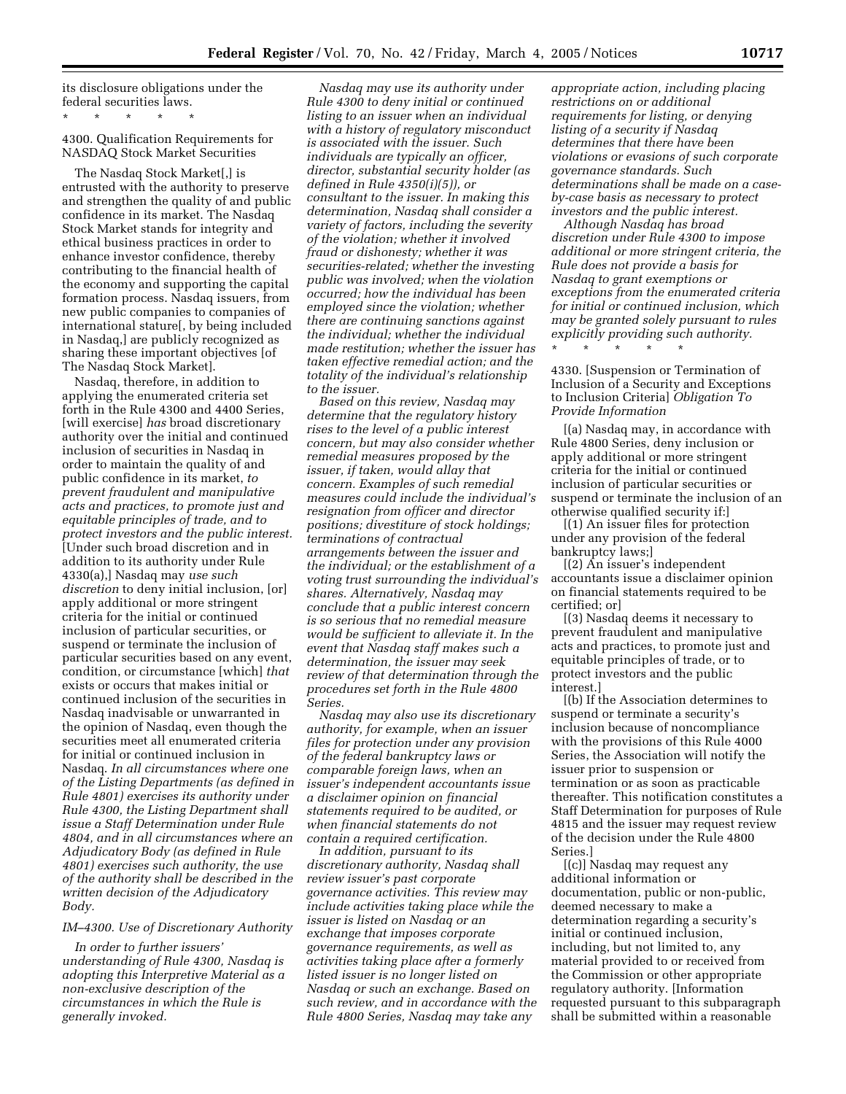its disclosure obligations under the federal securities laws.

\* \* \* \* \* 4300. Qualification Requirements for NASDAQ Stock Market Securities

The Nasdaq Stock Market[,] is entrusted with the authority to preserve and strengthen the quality of and public confidence in its market. The Nasdaq Stock Market stands for integrity and ethical business practices in order to enhance investor confidence, thereby contributing to the financial health of the economy and supporting the capital formation process. Nasdaq issuers, from new public companies to companies of international stature[, by being included in Nasdaq,] are publicly recognized as sharing these important objectives [of The Nasdaq Stock Market].

Nasdaq, therefore, in addition to applying the enumerated criteria set forth in the Rule 4300 and 4400 Series, [will exercise] *has* broad discretionary authority over the initial and continued inclusion of securities in Nasdaq in order to maintain the quality of and public confidence in its market, *to prevent fraudulent and manipulative acts and practices, to promote just and equitable principles of trade, and to protect investors and the public interest.* [Under such broad discretion and in addition to its authority under Rule 4330(a),] Nasdaq may *use such discretion* to deny initial inclusion, [or] apply additional or more stringent criteria for the initial or continued inclusion of particular securities, or suspend or terminate the inclusion of particular securities based on any event, condition, or circumstance [which] *that* exists or occurs that makes initial or continued inclusion of the securities in Nasdaq inadvisable or unwarranted in the opinion of Nasdaq, even though the securities meet all enumerated criteria for initial or continued inclusion in Nasdaq. *In all circumstances where one of the Listing Departments (as defined in Rule 4801) exercises its authority under Rule 4300, the Listing Department shall issue a Staff Determination under Rule 4804, and in all circumstances where an Adjudicatory Body (as defined in Rule 4801) exercises such authority, the use of the authority shall be described in the written decision of the Adjudicatory Body.*

# *IM–4300. Use of Discretionary Authority*

*In order to further issuers' understanding of Rule 4300, Nasdaq is adopting this Interpretive Material as a non-exclusive description of the circumstances in which the Rule is generally invoked.*

*Nasdaq may use its authority under Rule 4300 to deny initial or continued listing to an issuer when an individual with a history of regulatory misconduct is associated with the issuer. Such individuals are typically an officer, director, substantial security holder (as defined in Rule 4350(i)(5)), or consultant to the issuer. In making this determination, Nasdaq shall consider a variety of factors, including the severity of the violation; whether it involved fraud or dishonesty; whether it was securities-related; whether the investing public was involved; when the violation occurred; how the individual has been employed since the violation; whether there are continuing sanctions against the individual; whether the individual made restitution; whether the issuer has taken effective remedial action; and the totality of the individual's relationship to the issuer.*

*Based on this review, Nasdaq may determine that the regulatory history rises to the level of a public interest concern, but may also consider whether remedial measures proposed by the issuer, if taken, would allay that concern. Examples of such remedial measures could include the individual's resignation from officer and director positions; divestiture of stock holdings; terminations of contractual arrangements between the issuer and the individual; or the establishment of a voting trust surrounding the individual's shares. Alternatively, Nasdaq may conclude that a public interest concern is so serious that no remedial measure would be sufficient to alleviate it. In the event that Nasdaq staff makes such a determination, the issuer may seek review of that determination through the procedures set forth in the Rule 4800 Series.*

*Nasdaq may also use its discretionary authority, for example, when an issuer files for protection under any provision of the federal bankruptcy laws or comparable foreign laws, when an issuer's independent accountants issue a disclaimer opinion on financial statements required to be audited, or when financial statements do not contain a required certification.*

*In addition, pursuant to its discretionary authority, Nasdaq shall review issuer's past corporate governance activities. This review may include activities taking place while the issuer is listed on Nasdaq or an exchange that imposes corporate governance requirements, as well as activities taking place after a formerly listed issuer is no longer listed on Nasdaq or such an exchange. Based on such review, and in accordance with the Rule 4800 Series, Nasdaq may take any* 

*appropriate action, including placing restrictions on or additional requirements for listing, or denying listing of a security if Nasdaq determines that there have been violations or evasions of such corporate governance standards. Such determinations shall be made on a caseby-case basis as necessary to protect investors and the public interest.*

*Although Nasdaq has broad discretion under Rule 4300 to impose additional or more stringent criteria, the Rule does not provide a basis for Nasdaq to grant exemptions or exceptions from the enumerated criteria for initial or continued inclusion, which may be granted solely pursuant to rules explicitly providing such authority.*

\* \* \* \* \*

4330. [Suspension or Termination of Inclusion of a Security and Exceptions to Inclusion Criteria] *Obligation To Provide Information*

[(a) Nasdaq may, in accordance with Rule 4800 Series, deny inclusion or apply additional or more stringent criteria for the initial or continued inclusion of particular securities or suspend or terminate the inclusion of an otherwise qualified security if:]

[(1) An issuer files for protection under any provision of the federal bankruptcy laws;]

[(2) An issuer's independent accountants issue a disclaimer opinion on financial statements required to be certified; or]

[(3) Nasdaq deems it necessary to prevent fraudulent and manipulative acts and practices, to promote just and equitable principles of trade, or to protect investors and the public interest.]

[(b) If the Association determines to suspend or terminate a security's inclusion because of noncompliance with the provisions of this Rule 4000 Series, the Association will notify the issuer prior to suspension or termination or as soon as practicable thereafter. This notification constitutes a Staff Determination for purposes of Rule 4815 and the issuer may request review of the decision under the Rule 4800 Series.]

[(c)] Nasdaq may request any additional information or documentation, public or non-public, deemed necessary to make a determination regarding a security's initial or continued inclusion, including, but not limited to, any material provided to or received from the Commission or other appropriate regulatory authority. [Information requested pursuant to this subparagraph shall be submitted within a reasonable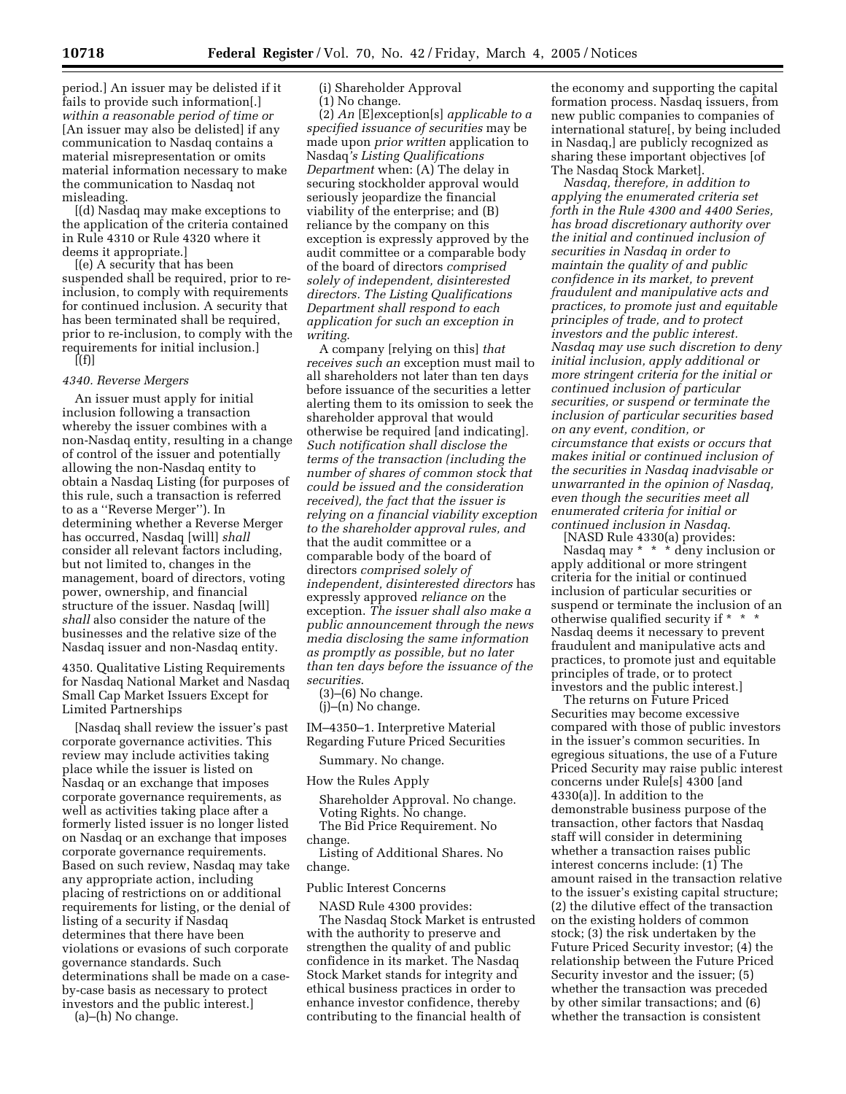period.] An issuer may be delisted if it fails to provide such information[.] *within a reasonable period of time or* [An issuer may also be delisted] if any communication to Nasdaq contains a material misrepresentation or omits material information necessary to make the communication to Nasdaq not misleading.

[(d) Nasdaq may make exceptions to the application of the criteria contained in Rule 4310 or Rule 4320 where it deems it appropriate.]

[(e) A security that has been suspended shall be required, prior to reinclusion, to comply with requirements for continued inclusion. A security that has been terminated shall be required, prior to re-inclusion, to comply with the requirements for initial inclusion.]  $[(f)]$ 

# *4340. Reverse Mergers*

An issuer must apply for initial inclusion following a transaction whereby the issuer combines with a non-Nasdaq entity, resulting in a change of control of the issuer and potentially allowing the non-Nasdaq entity to obtain a Nasdaq Listing (for purposes of this rule, such a transaction is referred to as a ''Reverse Merger''). In determining whether a Reverse Merger has occurred, Nasdaq [will] *shall* consider all relevant factors including, but not limited to, changes in the management, board of directors, voting power, ownership, and financial structure of the issuer. Nasdaq [will] *shall* also consider the nature of the businesses and the relative size of the Nasdaq issuer and non-Nasdaq entity.

4350. Qualitative Listing Requirements for Nasdaq National Market and Nasdaq Small Cap Market Issuers Except for Limited Partnerships

[Nasdaq shall review the issuer's past corporate governance activities. This review may include activities taking place while the issuer is listed on Nasdaq or an exchange that imposes corporate governance requirements, as well as activities taking place after a formerly listed issuer is no longer listed on Nasdaq or an exchange that imposes corporate governance requirements. Based on such review, Nasdaq may take any appropriate action, including placing of restrictions on or additional requirements for listing, or the denial of listing of a security if Nasdaq determines that there have been violations or evasions of such corporate governance standards. Such determinations shall be made on a caseby-case basis as necessary to protect investors and the public interest.]

(a)–(h) No change.

(i) Shareholder Approval (1) No change.

(2) *An* [E]*e*xception[s] *applicable to a specified issuance of securities* may be made upon *prior written* application to Nasdaq*'s Listing Qualifications Department* when: (A) The delay in securing stockholder approval would seriously jeopardize the financial viability of the enterprise; and (B) reliance by the company on this exception is expressly approved by the audit committee or a comparable body of the board of directors *comprised solely of independent, disinterested directors. The Listing Qualifications Department shall respond to each application for such an exception in writing*.

A company [relying on this] *that receives such an* exception must mail to all shareholders not later than ten days before issuance of the securities a letter alerting them to its omission to seek the shareholder approval that would otherwise be required [and indicating]*. Such notification shall disclose the terms of the transaction (including the number of shares of common stock that could be issued and the consideration received), the fact that the issuer is relying on a financial viability exception to the shareholder approval rules, and* that the audit committee or a comparable body of the board of directors *comprised solely of independent, disinterested directors* has expressly approved *reliance on* the exception. *The issuer shall also make a public announcement through the news media disclosing the same information as promptly as possible, but no later than ten days before the issuance of the securities*.

(3)–(6) No change.

(j)–(n) No change.

IM–4350–1. Interpretive Material Regarding Future Priced Securities

Summary. No change.

How the Rules Apply

Shareholder Approval. No change. Voting Rights. No change. The Bid Price Requirement. No change.

Listing of Additional Shares. No change.

Public Interest Concerns

NASD Rule 4300 provides: The Nasdaq Stock Market is entrusted with the authority to preserve and strengthen the quality of and public confidence in its market. The Nasdaq Stock Market stands for integrity and ethical business practices in order to enhance investor confidence, thereby contributing to the financial health of

the economy and supporting the capital formation process. Nasdaq issuers, from new public companies to companies of international stature[, by being included in Nasdaq,] are publicly recognized as sharing these important objectives [of The Nasdaq Stock Market].

*Nasdaq, therefore, in addition to applying the enumerated criteria set forth in the Rule 4300 and 4400 Series, has broad discretionary authority over the initial and continued inclusion of securities in Nasdaq in order to maintain the quality of and public confidence in its market, to prevent fraudulent and manipulative acts and practices, to promote just and equitable principles of trade, and to protect investors and the public interest. Nasdaq may use such discretion to deny initial inclusion, apply additional or more stringent criteria for the initial or continued inclusion of particular securities, or suspend or terminate the inclusion of particular securities based on any event, condition, or circumstance that exists or occurs that makes initial or continued inclusion of the securities in Nasdaq inadvisable or unwarranted in the opinion of Nasdaq, even though the securities meet all enumerated criteria for initial or continued inclusion in Nasdaq*.

[NASD Rule 4330(a) provides: Nasdaq may \* \* \* deny inclusion or apply additional or more stringent criteria for the initial or continued inclusion of particular securities or suspend or terminate the inclusion of an otherwise qualified security if \* \* \* Nasdaq deems it necessary to prevent fraudulent and manipulative acts and practices, to promote just and equitable principles of trade, or to protect investors and the public interest.]

The returns on Future Priced Securities may become excessive compared with those of public investors in the issuer's common securities. In egregious situations, the use of a Future Priced Security may raise public interest concerns under Rule[s] 4300 [and 4330(a)]. In addition to the demonstrable business purpose of the transaction, other factors that Nasdaq staff will consider in determining whether a transaction raises public interest concerns include: (1) The amount raised in the transaction relative to the issuer's existing capital structure; (2) the dilutive effect of the transaction on the existing holders of common stock; (3) the risk undertaken by the Future Priced Security investor; (4) the relationship between the Future Priced Security investor and the issuer; (5) whether the transaction was preceded by other similar transactions; and (6) whether the transaction is consistent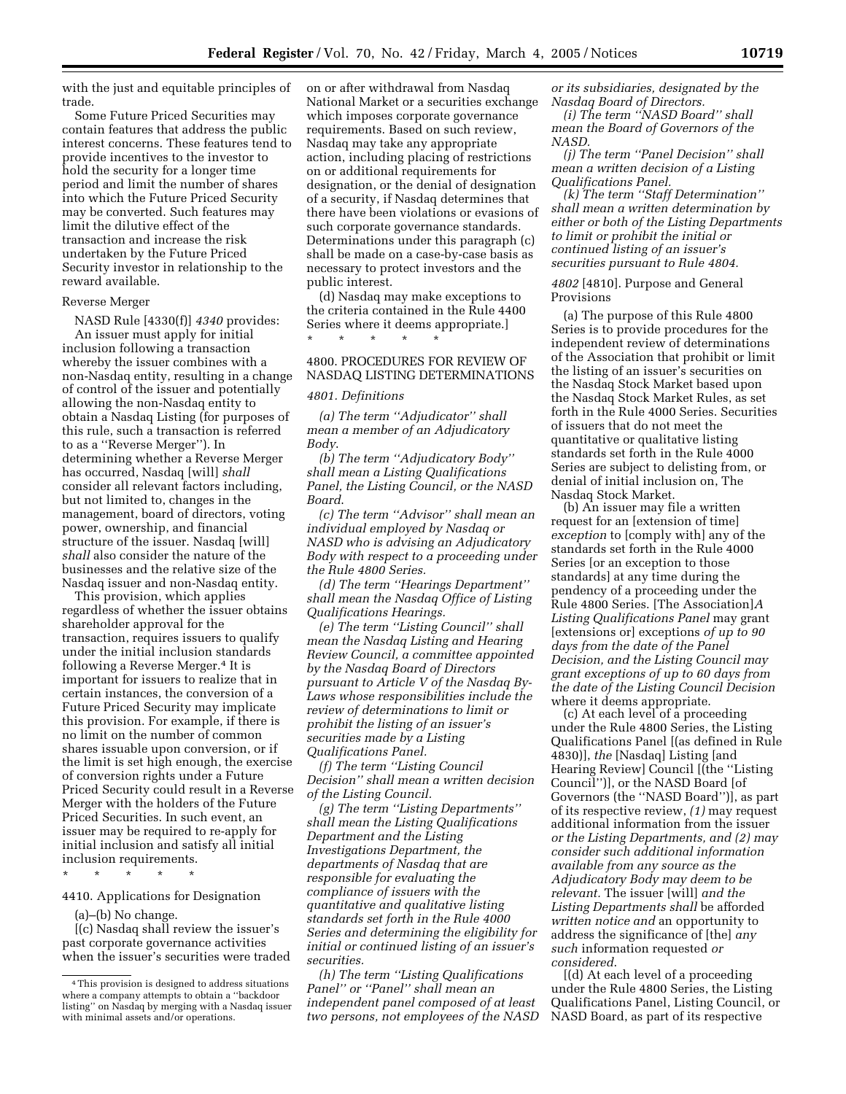with the just and equitable principles of trade.

Some Future Priced Securities may contain features that address the public interest concerns. These features tend to provide incentives to the investor to hold the security for a longer time period and limit the number of shares into which the Future Priced Security may be converted. Such features may limit the dilutive effect of the transaction and increase the risk undertaken by the Future Priced Security investor in relationship to the reward available.

## Reverse Merger

NASD Rule [4330(f)] *4340* provides: An issuer must apply for initial inclusion following a transaction whereby the issuer combines with a non-Nasdaq entity, resulting in a change of control of the issuer and potentially allowing the non-Nasdaq entity to obtain a Nasdaq Listing (for purposes of this rule, such a transaction is referred to as a ''Reverse Merger''). In determining whether a Reverse Merger has occurred, Nasdaq [will] *shall* consider all relevant factors including, but not limited to, changes in the management, board of directors, voting power, ownership, and financial structure of the issuer. Nasdaq [will] *shall* also consider the nature of the businesses and the relative size of the Nasdaq issuer and non-Nasdaq entity.

This provision, which applies regardless of whether the issuer obtains shareholder approval for the transaction, requires issuers to qualify under the initial inclusion standards following a Reverse Merger.4 It is important for issuers to realize that in certain instances, the conversion of a Future Priced Security may implicate this provision. For example, if there is no limit on the number of common shares issuable upon conversion, or if the limit is set high enough, the exercise of conversion rights under a Future Priced Security could result in a Reverse Merger with the holders of the Future Priced Securities. In such event, an issuer may be required to re-apply for initial inclusion and satisfy all initial inclusion requirements.

\* \* \* \* \*

4410. Applications for Designation

(a)–(b) No change.

[(c) Nasdaq shall review the issuer's past corporate governance activities when the issuer's securities were traded

on or after withdrawal from Nasdaq National Market or a securities exchange which imposes corporate governance requirements. Based on such review, Nasdaq may take any appropriate action, including placing of restrictions on or additional requirements for designation, or the denial of designation of a security, if Nasdaq determines that there have been violations or evasions of such corporate governance standards. Determinations under this paragraph (c) shall be made on a case-by-case basis as necessary to protect investors and the public interest.

(d) Nasdaq may make exceptions to the criteria contained in the Rule 4400 Series where it deems appropriate.] \* \* \* \* \*

# 4800. PROCEDURES FOR REVIEW OF NASDAQ LISTING DETERMINATIONS

## *4801. Definitions*

*(a) The term ''Adjudicator'' shall mean a member of an Adjudicatory Body*.

*(b) The term ''Adjudicatory Body'' shall mean a Listing Qualifications Panel, the Listing Council, or the NASD Board*.

*(c) The term ''Advisor'' shall mean an individual employed by Nasdaq or NASD who is advising an Adjudicatory Body with respect to a proceeding under the Rule 4800 Series.*

*(d) The term ''Hearings Department'' shall mean the Nasdaq Office of Listing Qualifications Hearings.*

*(e) The term ''Listing Council'' shall mean the Nasdaq Listing and Hearing Review Council, a committee appointed by the Nasdaq Board of Directors pursuant to Article V of the Nasdaq By-Laws whose responsibilities include the review of determinations to limit or prohibit the listing of an issuer's securities made by a Listing Qualifications Panel.*

*(f) The term ''Listing Council Decision'' shall mean a written decision of the Listing Council.*

*(g) The term ''Listing Departments'' shall mean the Listing Qualifications Department and the Listing Investigations Department, the departments of Nasdaq that are responsible for evaluating the compliance of issuers with the quantitative and qualitative listing standards set forth in the Rule 4000 Series and determining the eligibility for initial or continued listing of an issuer's securities.*

*(h) The term ''Listing Qualifications Panel'' or ''Panel'' shall mean an independent panel composed of at least two persons, not employees of the NASD* 

*or its subsidiaries, designated by the Nasdaq Board of Directors.*

*(i) The term ''NASD Board'' shall mean the Board of Governors of the NASD.*

*(j) The term ''Panel Decision'' shall mean a written decision of a Listing Qualifications Panel.*

*(k) The term ''Staff Determination'' shall mean a written determination by either or both of the Listing Departments to limit or prohibit the initial or continued listing of an issuer's securities pursuant to Rule 4804.*

*4802* [4810]. Purpose and General Provisions

(a) The purpose of this Rule 4800 Series is to provide procedures for the independent review of determinations of the Association that prohibit or limit the listing of an issuer's securities on the Nasdaq Stock Market based upon the Nasdaq Stock Market Rules, as set forth in the Rule 4000 Series. Securities of issuers that do not meet the quantitative or qualitative listing standards set forth in the Rule 4000 Series are subject to delisting from, or denial of initial inclusion on, The Nasdaq Stock Market.

(b) An issuer may file a written request for an [extension of time] *exception* to [comply with] any of the standards set forth in the Rule 4000 Series [or an exception to those standards] at any time during the pendency of a proceeding under the Rule 4800 Series. [The Association]*A Listing Qualifications Panel* may grant [extensions or] exceptions *of up to 90 days from the date of the Panel Decision, and the Listing Council may grant exceptions of up to 60 days from the date of the Listing Council Decision* where it deems appropriate.

(c) At each level of a proceeding under the Rule 4800 Series, the Listing Qualifications Panel [(as defined in Rule 4830)], *the* [Nasdaq] Listing [and Hearing Review] Council [(the ''Listing Council'')], or the NASD Board [of Governors (the ''NASD Board'')], as part of its respective review, *(1)* may request additional information from the issuer *or the Listing Departments, and (2) may consider such additional information available from any source as the Adjudicatory Body may deem to be relevant.* The issuer [will] *and the Listing Departments shall* be afforded *written notice and* an opportunity to address the significance of [the] *any such* information requested *or considered*.

[(d) At each level of a proceeding under the Rule 4800 Series, the Listing Qualifications Panel, Listing Council, or NASD Board, as part of its respective

<sup>4</sup>This provision is designed to address situations where a company attempts to obtain a ''backdoor listing'' on Nasdaq by merging with a Nasdaq issuer with minimal assets and/or operations.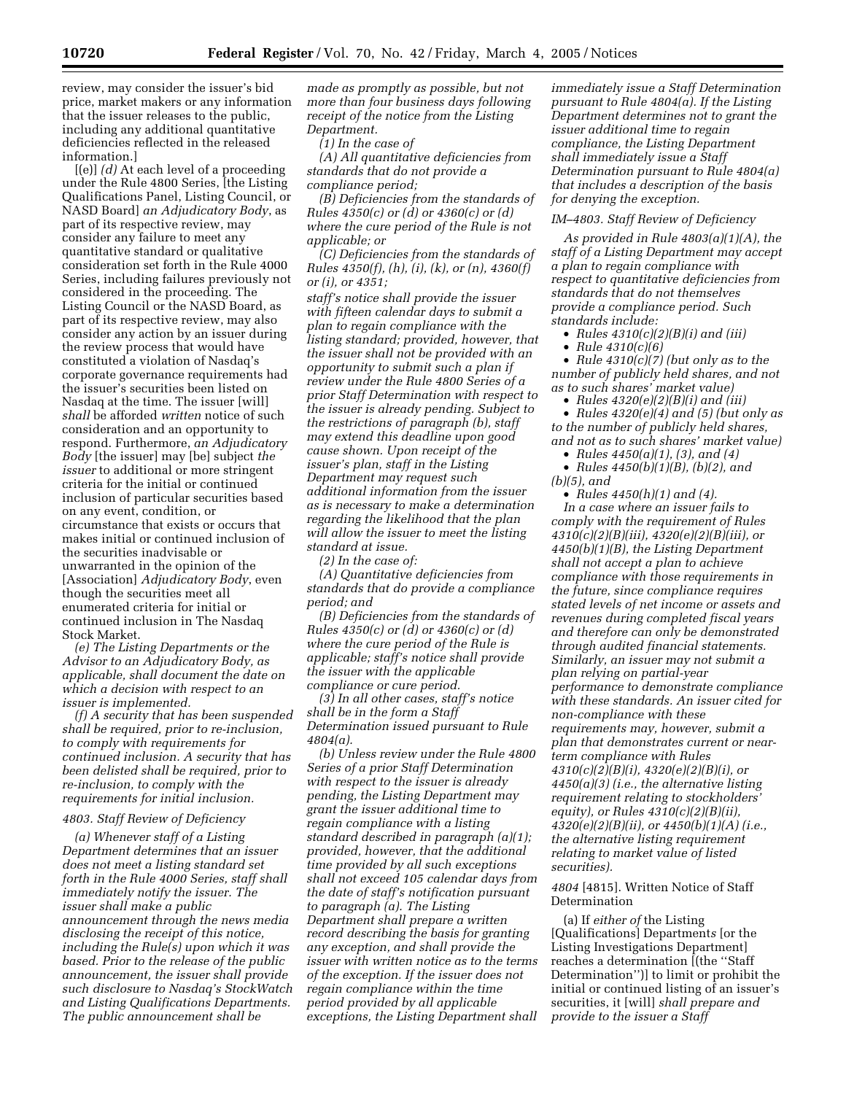review, may consider the issuer's bid price, market makers or any information that the issuer releases to the public, including any additional quantitative deficiencies reflected in the released information.]

[(e)] *(d)* At each level of a proceeding under the Rule 4800 Series, [the Listing Qualifications Panel, Listing Council, or NASD Board] *an Adjudicatory Body*, as part of its respective review, may consider any failure to meet any quantitative standard or qualitative consideration set forth in the Rule 4000 Series, including failures previously not considered in the proceeding. The Listing Council or the NASD Board, as part of its respective review, may also consider any action by an issuer during the review process that would have constituted a violation of Nasdaq's corporate governance requirements had the issuer's securities been listed on Nasdaq at the time. The issuer [will] *shall* be afforded *written* notice of such consideration and an opportunity to respond. Furthermore, *an Adjudicatory Body* [the issuer] may [be] subject *the issuer* to additional or more stringent criteria for the initial or continued inclusion of particular securities based on any event, condition, or circumstance that exists or occurs that makes initial or continued inclusion of the securities inadvisable or unwarranted in the opinion of the [Association] *Adjudicatory Body*, even though the securities meet all enumerated criteria for initial or continued inclusion in The Nasdaq Stock Market.

*(e) The Listing Departments or the Advisor to an Adjudicatory Body, as applicable, shall document the date on which a decision with respect to an issuer is implemented.*

*(f) A security that has been suspended shall be required, prior to re-inclusion, to comply with requirements for continued inclusion. A security that has been delisted shall be required, prior to re-inclusion, to comply with the requirements for initial inclusion.*

# *4803. Staff Review of Deficiency*

*(a) Whenever staff of a Listing Department determines that an issuer does not meet a listing standard set forth in the Rule 4000 Series, staff shall immediately notify the issuer. The issuer shall make a public announcement through the news media disclosing the receipt of this notice, including the Rule(s) upon which it was based. Prior to the release of the public announcement, the issuer shall provide such disclosure to Nasdaq's StockWatch and Listing Qualifications Departments. The public announcement shall be* 

*made as promptly as possible, but not more than four business days following receipt of the notice from the Listing Department.*

*(1) In the case of*

*(A) All quantitative deficiencies from standards that do not provide a compliance period;*

*(B) Deficiencies from the standards of Rules 4350(c) or (d) or 4360(c) or (d) where the cure period of the Rule is not applicable; or*

*(C) Deficiencies from the standards of Rules 4350(f), (h), (i), (k), or (n), 4360(f) or (i), or 4351;*

*staff's notice shall provide the issuer with fifteen calendar days to submit a plan to regain compliance with the listing standard; provided, however, that the issuer shall not be provided with an opportunity to submit such a plan if review under the Rule 4800 Series of a prior Staff Determination with respect to the issuer is already pending. Subject to the restrictions of paragraph (b), staff may extend this deadline upon good cause shown. Upon receipt of the issuer's plan, staff in the Listing Department may request such additional information from the issuer as is necessary to make a determination regarding the likelihood that the plan will allow the issuer to meet the listing standard at issue.*

*(2) In the case of:*

*(A) Quantitative deficiencies from standards that do provide a compliance period; and*

*(B) Deficiencies from the standards of Rules 4350(c) or (d) or 4360(c) or (d) where the cure period of the Rule is applicable; staff's notice shall provide the issuer with the applicable compliance or cure period.*

*(3) In all other cases, staff's notice shall be in the form a Staff Determination issued pursuant to Rule 4804(a).*

*(b) Unless review under the Rule 4800 Series of a prior Staff Determination with respect to the issuer is already pending, the Listing Department may grant the issuer additional time to regain compliance with a listing standard described in paragraph (a)(1); provided, however, that the additional time provided by all such exceptions shall not exceed 105 calendar days from the date of staff's notification pursuant to paragraph (a). The Listing Department shall prepare a written record describing the basis for granting any exception, and shall provide the issuer with written notice as to the terms of the exception. If the issuer does not regain compliance within the time period provided by all applicable exceptions, the Listing Department shall* 

*immediately issue a Staff Determination pursuant to Rule 4804(a). If the Listing Department determines not to grant the issuer additional time to regain compliance, the Listing Department shall immediately issue a Staff Determination pursuant to Rule 4804(a) that includes a description of the basis for denying the exception.*

#### *IM–4803. Staff Review of Deficiency*

*As provided in Rule 4803(a)(1)(A), the staff of a Listing Department may accept a plan to regain compliance with respect to quantitative deficiencies from standards that do not themselves provide a compliance period. Such standards include:*

• *Rules 4310(c)(2)(B)(i) and (iii)*

• *Rule 4310(c)(6)*

• *Rule 4310(c)(7) (but only as to the number of publicly held shares, and not as to such shares' market value)*

• *Rules 4320(e)(2)(B)(i) and (iii)*

• *Rules 4320(e)(4) and (5) (but only as to the number of publicly held shares, and not as to such shares' market value)*

• *Rules 4450(a)(1), (3), and (4)*

• *Rules 4450(b)(1)(B), (b)(2), and (b)(5), and*

• *Rules 4450(h)(1) and (4). In a case where an issuer fails to comply with the requirement of Rules 4310(c)(2)(B)(iii), 4320(e)(2)(B)(iii), or 4450(b)(1)(B), the Listing Department shall not accept a plan to achieve compliance with those requirements in the future, since compliance requires stated levels of net income or assets and revenues during completed fiscal years and therefore can only be demonstrated through audited financial statements. Similarly, an issuer may not submit a plan relying on partial-year performance to demonstrate compliance with these standards. An issuer cited for non-compliance with these requirements may, however, submit a plan that demonstrates current or nearterm compliance with Rules 4310(c)(2)(B)(i), 4320(e)(2)(B)(i), or 4450(a)(3) (i.e., the alternative listing requirement relating to stockholders' equity), or Rules 4310(c)(2)(B)(ii), 4320(e)(2)(B)(ii), or 4450(b)(1)(A) (i.e., the alternative listing requirement relating to market value of listed securities).*

# *4804* [4815]. Written Notice of Staff Determination

(a) If *either of* the Listing [Qualifications] Department*s* [or the Listing Investigations Department] reaches a determination [(the ''Staff Determination'')] to limit or prohibit the initial or continued listing of an issuer's securities, it [will] *shall prepare and provide to the issuer a Staff*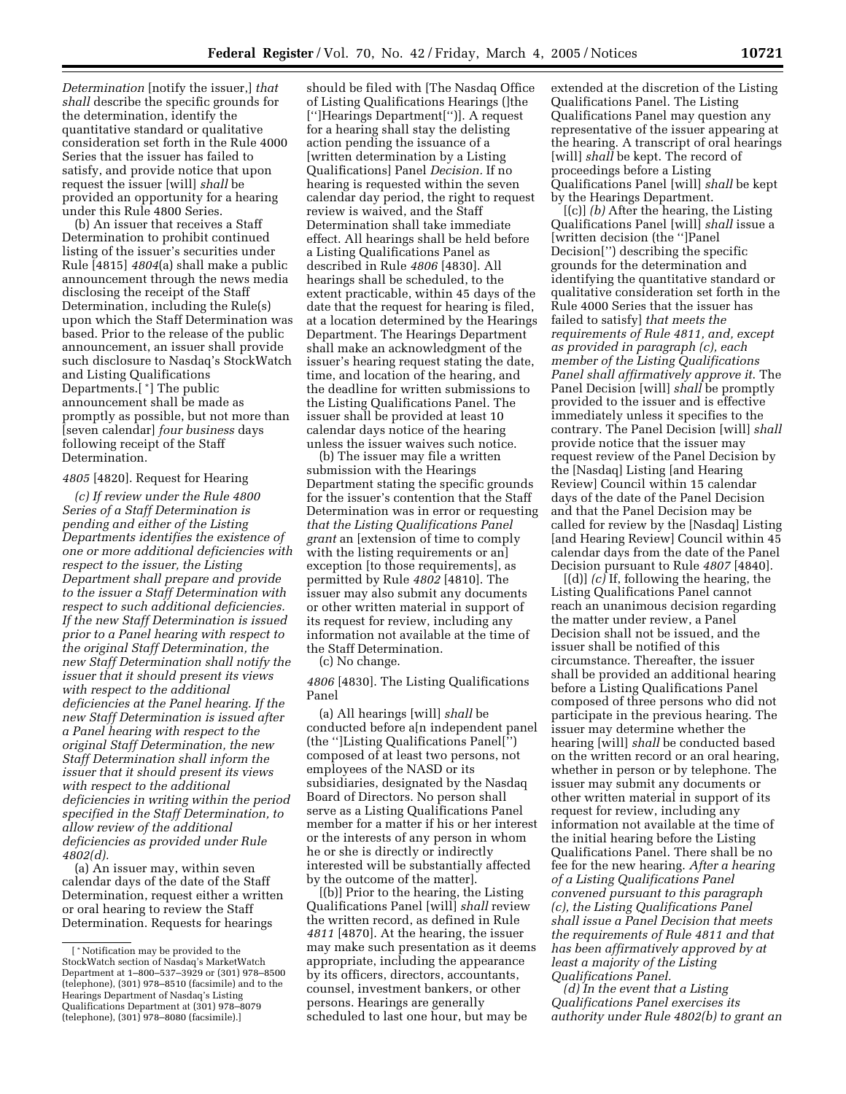*Determination* [notify the issuer,] *that shall* describe the specific grounds for the determination, identify the quantitative standard or qualitative consideration set forth in the Rule 4000 Series that the issuer has failed to satisfy, and provide notice that upon request the issuer [will] *shall* be provided an opportunity for a hearing under this Rule 4800 Series.

(b) An issuer that receives a Staff Determination to prohibit continued listing of the issuer's securities under Rule [4815] *4804*(a) shall make a public announcement through the news media disclosing the receipt of the Staff Determination, including the Rule(s) upon which the Staff Determination was based. Prior to the release of the public announcement, an issuer shall provide such disclosure to Nasdaq's StockWatch and Listing Qualifications Departments.[ \*] The public announcement shall be made as promptly as possible, but not more than [seven calendar] *four business* days following receipt of the Staff Determination.

#### *4805* [4820]. Request for Hearing

*(c) If review under the Rule 4800 Series of a Staff Determination is pending and either of the Listing Departments identifies the existence of one or more additional deficiencies with respect to the issuer, the Listing Department shall prepare and provide to the issuer a Staff Determination with respect to such additional deficiencies. If the new Staff Determination is issued prior to a Panel hearing with respect to the original Staff Determination, the new Staff Determination shall notify the issuer that it should present its views with respect to the additional deficiencies at the Panel hearing. If the new Staff Determination is issued after a Panel hearing with respect to the original Staff Determination, the new Staff Determination shall inform the issuer that it should present its views with respect to the additional deficiencies in writing within the period specified in the Staff Determination, to allow review of the additional deficiencies as provided under Rule 4802(d).*

(a) An issuer may, within seven calendar days of the date of the Staff Determination, request either a written or oral hearing to review the Staff Determination. Requests for hearings

should be filed with [The Nasdaq Office of Listing Qualifications Hearings (]the ['']Hearings Department['')]. A request for a hearing shall stay the delisting action pending the issuance of a [written determination by a Listing Qualifications] Panel *Decision.* If no hearing is requested within the seven calendar day period, the right to request review is waived, and the Staff Determination shall take immediate effect. All hearings shall be held before a Listing Qualifications Panel as described in Rule *4806* [4830]. All hearings shall be scheduled, to the extent practicable, within 45 days of the date that the request for hearing is filed, at a location determined by the Hearings Department. The Hearings Department shall make an acknowledgment of the issuer's hearing request stating the date, time, and location of the hearing, and the deadline for written submissions to the Listing Qualifications Panel. The issuer shall be provided at least 10 calendar days notice of the hearing unless the issuer waives such notice.

(b) The issuer may file a written submission with the Hearings Department stating the specific grounds for the issuer's contention that the Staff Determination was in error or requesting *that the Listing Qualifications Panel grant* an [extension of time to comply with the listing requirements or an] exception [to those requirements], as permitted by Rule *4802* [4810]. The issuer may also submit any documents or other written material in support of its request for review, including any information not available at the time of the Staff Determination.

(c) No change.

*4806* [4830]. The Listing Qualifications Panel

(a) All hearings [will] *shall* be conducted before a[n independent panel (the '']Listing Qualifications Panel['') composed of at least two persons, not employees of the NASD or its subsidiaries, designated by the Nasdaq Board of Directors. No person shall serve as a Listing Qualifications Panel member for a matter if his or her interest or the interests of any person in whom he or she is directly or indirectly interested will be substantially affected by the outcome of the matter].

[(b)] Prior to the hearing, the Listing Qualifications Panel [will] *shall* review the written record, as defined in Rule *4811* [4870]. At the hearing, the issuer may make such presentation as it deems appropriate, including the appearance by its officers, directors, accountants, counsel, investment bankers, or other persons. Hearings are generally scheduled to last one hour, but may be

extended at the discretion of the Listing Qualifications Panel. The Listing Qualifications Panel may question any representative of the issuer appearing at the hearing. A transcript of oral hearings [will] *shall* be kept. The record of proceedings before a Listing Qualifications Panel [will] *shall* be kept by the Hearings Department.

[(c)] *(b)* After the hearing, the Listing Qualifications Panel [will] *shall* issue a [written decision (the '']Panel Decision['') describing the specific grounds for the determination and identifying the quantitative standard or qualitative consideration set forth in the Rule 4000 Series that the issuer has failed to satisfy] *that meets the requirements of Rule 4811, and, except as provided in paragraph (c), each member of the Listing Qualifications Panel shall affirmatively approve it*. The Panel Decision [will] *shall* be promptly provided to the issuer and is effective immediately unless it specifies to the contrary. The Panel Decision [will] *shall* provide notice that the issuer may request review of the Panel Decision by the [Nasdaq] Listing [and Hearing Review] Council within 15 calendar days of the date of the Panel Decision and that the Panel Decision may be called for review by the [Nasdaq] Listing [and Hearing Review] Council within 45 calendar days from the date of the Panel Decision pursuant to Rule *4807* [4840].

[(d)] *(c)* If, following the hearing, the Listing Qualifications Panel cannot reach an unanimous decision regarding the matter under review, a Panel Decision shall not be issued, and the issuer shall be notified of this circumstance. Thereafter, the issuer shall be provided an additional hearing before a Listing Qualifications Panel composed of three persons who did not participate in the previous hearing. The issuer may determine whether the hearing [will] *shall* be conducted based on the written record or an oral hearing, whether in person or by telephone. The issuer may submit any documents or other written material in support of its request for review, including any information not available at the time of the initial hearing before the Listing Qualifications Panel. There shall be no fee for the new hearing. *After a hearing of a Listing Qualifications Panel convened pursuant to this paragraph (c), the Listing Qualifications Panel shall issue a Panel Decision that meets the requirements of Rule 4811 and that has been affirmatively approved by at least a majority of the Listing Qualifications Panel.*

*(d) In the event that a Listing Qualifications Panel exercises its authority under Rule 4802(b) to grant an* 

<sup>[</sup> \*Notification may be provided to the StockWatch section of Nasdaq's MarketWatch Department at 1–800–537–3929 or (301) 978–8500 (telephone), (301) 978–8510 (facsimile) and to the Hearings Department of Nasdaq's Listing Qualifications Department at (301) 978–8079 (telephone), (301) 978–8080 (facsimile).]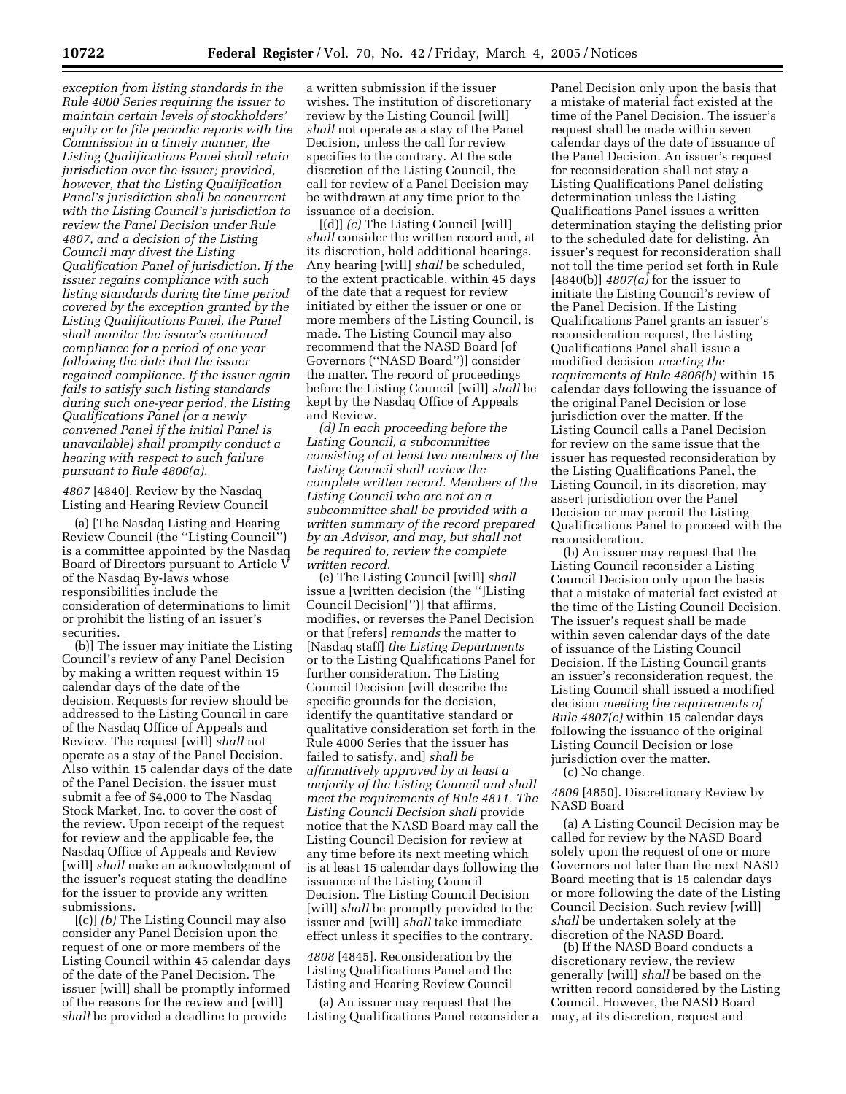*exception from listing standards in the Rule 4000 Series requiring the issuer to maintain certain levels of stockholders' equity or to file periodic reports with the Commission in a timely manner, the Listing Qualifications Panel shall retain jurisdiction over the issuer; provided, however, that the Listing Qualification Panel's jurisdiction shall be concurrent with the Listing Council's jurisdiction to review the Panel Decision under Rule 4807, and a decision of the Listing Council may divest the Listing Qualification Panel of jurisdiction. If the issuer regains compliance with such listing standards during the time period covered by the exception granted by the Listing Qualifications Panel, the Panel shall monitor the issuer's continued compliance for a period of one year following the date that the issuer regained compliance. If the issuer again fails to satisfy such listing standards during such one-year period, the Listing Qualifications Panel (or a newly convened Panel if the initial Panel is unavailable) shall promptly conduct a hearing with respect to such failure pursuant to Rule 4806(a).*

*4807* [4840]. Review by the Nasdaq Listing and Hearing Review Council

(a) [The Nasdaq Listing and Hearing Review Council (the ''Listing Council'') is a committee appointed by the Nasdaq Board of Directors pursuant to Article V of the Nasdaq By-laws whose responsibilities include the consideration of determinations to limit or prohibit the listing of an issuer's securities.

(b)] The issuer may initiate the Listing Council's review of any Panel Decision by making a written request within 15 calendar days of the date of the decision. Requests for review should be addressed to the Listing Council in care of the Nasdaq Office of Appeals and Review. The request [will] *shall* not operate as a stay of the Panel Decision. Also within 15 calendar days of the date of the Panel Decision, the issuer must submit a fee of \$4,000 to The Nasdaq Stock Market, Inc. to cover the cost of the review. Upon receipt of the request for review and the applicable fee, the Nasdaq Office of Appeals and Review [will] *shall* make an acknowledgment of the issuer's request stating the deadline for the issuer to provide any written submissions.

[(c)] *(b)* The Listing Council may also consider any Panel Decision upon the request of one or more members of the Listing Council within 45 calendar days of the date of the Panel Decision. The issuer [will] shall be promptly informed of the reasons for the review and [will] *shall* be provided a deadline to provide

a written submission if the issuer wishes. The institution of discretionary review by the Listing Council [will] *shall* not operate as a stay of the Panel Decision, unless the call for review specifies to the contrary. At the sole discretion of the Listing Council, the call for review of a Panel Decision may be withdrawn at any time prior to the issuance of a decision.

[(d)] *(c)* The Listing Council [will] *shall* consider the written record and, at its discretion, hold additional hearings. Any hearing [will] *shall* be scheduled, to the extent practicable, within 45 days of the date that a request for review initiated by either the issuer or one or more members of the Listing Council, is made. The Listing Council may also recommend that the NASD Board [of Governors (''NASD Board'')] consider the matter. The record of proceedings before the Listing Council [will] *shall* be kept by the Nasdaq Office of Appeals and Review.

*(d) In each proceeding before the Listing Council, a subcommittee consisting of at least two members of the Listing Council shall review the complete written record. Members of the Listing Council who are not on a subcommittee shall be provided with a written summary of the record prepared by an Advisor, and may, but shall not be required to, review the complete written record.*

(e) The Listing Council [will] *shall* issue a [written decision (the '']Listing Council Decision['')] that affirms, modifies, or reverses the Panel Decision or that [refers] *remands* the matter to [Nasdaq staff] *the Listing Departments* or to the Listing Qualifications Panel for further consideration. The Listing Council Decision [will describe the specific grounds for the decision, identify the quantitative standard or qualitative consideration set forth in the Rule 4000 Series that the issuer has failed to satisfy, and] *shall be affirmatively approved by at least a majority of the Listing Council and shall meet the requirements of Rule 4811. The Listing Council Decision shall* provide notice that the NASD Board may call the Listing Council Decision for review at any time before its next meeting which is at least 15 calendar days following the issuance of the Listing Council Decision. The Listing Council Decision [will] *shall* be promptly provided to the issuer and [will] *shall* take immediate effect unless it specifies to the contrary.

*4808* [4845]. Reconsideration by the Listing Qualifications Panel and the Listing and Hearing Review Council

(a) An issuer may request that the Listing Qualifications Panel reconsider a

Panel Decision only upon the basis that a mistake of material fact existed at the time of the Panel Decision. The issuer's request shall be made within seven calendar days of the date of issuance of the Panel Decision. An issuer's request for reconsideration shall not stay a Listing Qualifications Panel delisting determination unless the Listing Qualifications Panel issues a written determination staying the delisting prior to the scheduled date for delisting. An issuer's request for reconsideration shall not toll the time period set forth in Rule [4840(b)] *4807(a)* for the issuer to initiate the Listing Council's review of the Panel Decision. If the Listing Qualifications Panel grants an issuer's reconsideration request, the Listing Qualifications Panel shall issue a modified decision *meeting the requirements of Rule 4806(b)* within 15 calendar days following the issuance of the original Panel Decision or lose jurisdiction over the matter. If the Listing Council calls a Panel Decision for review on the same issue that the issuer has requested reconsideration by the Listing Qualifications Panel, the Listing Council, in its discretion, may assert jurisdiction over the Panel Decision or may permit the Listing Qualifications Panel to proceed with the reconsideration.

(b) An issuer may request that the Listing Council reconsider a Listing Council Decision only upon the basis that a mistake of material fact existed at the time of the Listing Council Decision. The issuer's request shall be made within seven calendar days of the date of issuance of the Listing Council Decision. If the Listing Council grants an issuer's reconsideration request, the Listing Council shall issued a modified decision *meeting the requirements of Rule 4807(e)* within 15 calendar days following the issuance of the original Listing Council Decision or lose jurisdiction over the matter.

(c) No change.

*4809* [4850]. Discretionary Review by NASD Board

(a) A Listing Council Decision may be called for review by the NASD Board solely upon the request of one or more Governors not later than the next NASD Board meeting that is 15 calendar days or more following the date of the Listing Council Decision. Such review [will] *shall* be undertaken solely at the discretion of the NASD Board.

(b) If the NASD Board conducts a discretionary review, the review generally [will] *shall* be based on the written record considered by the Listing Council. However, the NASD Board may, at its discretion, request and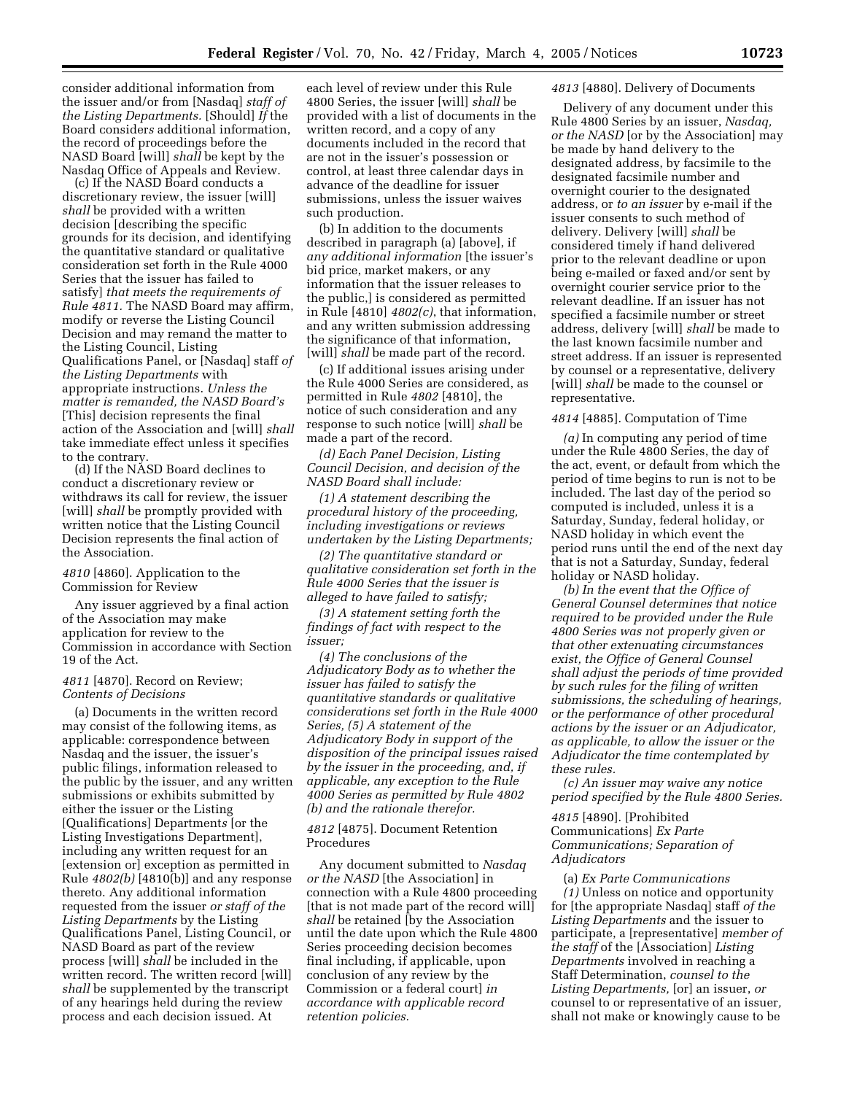consider additional information from the issuer and/or from [Nasdaq] *staff of the Listing Departments.* [Should] *If* the Board consider*s* additional information, the record of proceedings before the NASD Board [will] *shall* be kept by the Nasdaq Office of Appeals and Review.

(c) If the NASD Board conducts a discretionary review, the issuer [will] *shall* be provided with a written decision [describing the specific grounds for its decision, and identifying the quantitative standard or qualitative consideration set forth in the Rule 4000 Series that the issuer has failed to satisfy] *that meets the requirements of Rule 4811.* The NASD Board may affirm, modify or reverse the Listing Council Decision and may remand the matter to the Listing Council, Listing Qualifications Panel, or [Nasdaq] staff *of the Listing Departments* with appropriate instructions. *Unless the matter is remanded, the NASD Board's* [This] decision represents the final action of the Association and [will] *shall* take immediate effect unless it specifies to the contrary.

(d) If the NASD Board declines to conduct a discretionary review or withdraws its call for review, the issuer [will] *shall* be promptly provided with written notice that the Listing Council Decision represents the final action of the Association.

## *4810* [4860]. Application to the Commission for Review

Any issuer aggrieved by a final action of the Association may make application for review to the Commission in accordance with Section 19 of the Act.

## *4811* [4870]. Record on Review; *Contents of Decisions*

(a) Documents in the written record may consist of the following items, as applicable: correspondence between Nasdaq and the issuer, the issuer's public filings, information released to the public by the issuer, and any written submissions or exhibits submitted by either the issuer or the Listing [Qualifications] Department*s* [or the Listing Investigations Department], including any written request for an [extension or] exception as permitted in Rule *4802(b)* [4810(b)] and any response thereto. Any additional information requested from the issuer *or staff of the Listing Departments* by the Listing Qualifications Panel, Listing Council, or NASD Board as part of the review process [will] *shall* be included in the written record. The written record [will] *shall* be supplemented by the transcript of any hearings held during the review process and each decision issued. At

each level of review under this Rule 4800 Series, the issuer [will] *shall* be provided with a list of documents in the written record, and a copy of any documents included in the record that are not in the issuer's possession or control, at least three calendar days in advance of the deadline for issuer submissions, unless the issuer waives such production.

(b) In addition to the documents described in paragraph (a) [above], if *any additional information* [the issuer's bid price, market makers, or any information that the issuer releases to the public,] is considered as permitted in Rule [4810] *4802(c)*, that information, and any written submission addressing the significance of that information, [will] *shall* be made part of the record.

(c) If additional issues arising under the Rule 4000 Series are considered, as permitted in Rule *4802* [4810], the notice of such consideration and any response to such notice [will] *shall* be made a part of the record.

*(d) Each Panel Decision, Listing Council Decision, and decision of the NASD Board shall include:*

*(1) A statement describing the procedural history of the proceeding, including investigations or reviews undertaken by the Listing Departments;*

*(2) The quantitative standard or qualitative consideration set forth in the Rule 4000 Series that the issuer is alleged to have failed to satisfy;*

*(3) A statement setting forth the findings of fact with respect to the issuer;*

*(4) The conclusions of the Adjudicatory Body as to whether the issuer has failed to satisfy the quantitative standards or qualitative considerations set forth in the Rule 4000 Series, (5) A statement of the Adjudicatory Body in support of the disposition of the principal issues raised by the issuer in the proceeding, and, if applicable, any exception to the Rule 4000 Series as permitted by Rule 4802 (b) and the rationale therefor.*

#### *4812* [4875]. Document Retention Procedures

Any document submitted to *Nasdaq or the NASD* [the Association] in connection with a Rule 4800 proceeding [that is not made part of the record will] *shall* be retained [by the Association until the date upon which the Rule 4800 Series proceeding decision becomes final including, if applicable, upon conclusion of any review by the Commission or a federal court] *in accordance with applicable record retention policies.*

# *4813* [4880]. Delivery of Documents

Delivery of any document under this Rule 4800 Series by an issuer, *Nasdaq, or the NASD* [or by the Association] may be made by hand delivery to the designated address, by facsimile to the designated facsimile number and overnight courier to the designated address, or *to an issuer* by e-mail if the issuer consents to such method of delivery. Delivery [will] *shall* be considered timely if hand delivered prior to the relevant deadline or upon being e-mailed or faxed and/or sent by overnight courier service prior to the relevant deadline. If an issuer has not specified a facsimile number or street address, delivery [will] *shall* be made to the last known facsimile number and street address. If an issuer is represented by counsel or a representative, delivery [will] *shall* be made to the counsel or representative.

## *4814* [4885]. Computation of Time

*(a)* In computing any period of time under the Rule 4800 Series, the day of the act, event, or default from which the period of time begins to run is not to be included. The last day of the period so computed is included, unless it is a Saturday, Sunday, federal holiday, or NASD holiday in which event the period runs until the end of the next day that is not a Saturday, Sunday, federal holiday or NASD holiday.

*(b) In the event that the Office of General Counsel determines that notice required to be provided under the Rule 4800 Series was not properly given or that other extenuating circumstances exist, the Office of General Counsel shall adjust the periods of time provided by such rules for the filing of written submissions, the scheduling of hearings, or the performance of other procedural actions by the issuer or an Adjudicator, as applicable, to allow the issuer or the Adjudicator the time contemplated by these rules.*

*(c) An issuer may waive any notice period specified by the Rule 4800 Series.*

*4815* [4890]. [Prohibited Communications] *Ex Parte Communications; Separation of Adjudicators*

#### (a) *Ex Parte Communications*

*(1)* Unless on notice and opportunity for [the appropriate Nasdaq] staff *of the Listing Departments* and the issuer to participate, a [representative] *member of the staff* of the [Association] *Listing Departments* involved in reaching a Staff Determination, *counsel to the Listing Departments,* [or] an issuer, *or* counsel to or representative of an issuer*,* shall not make or knowingly cause to be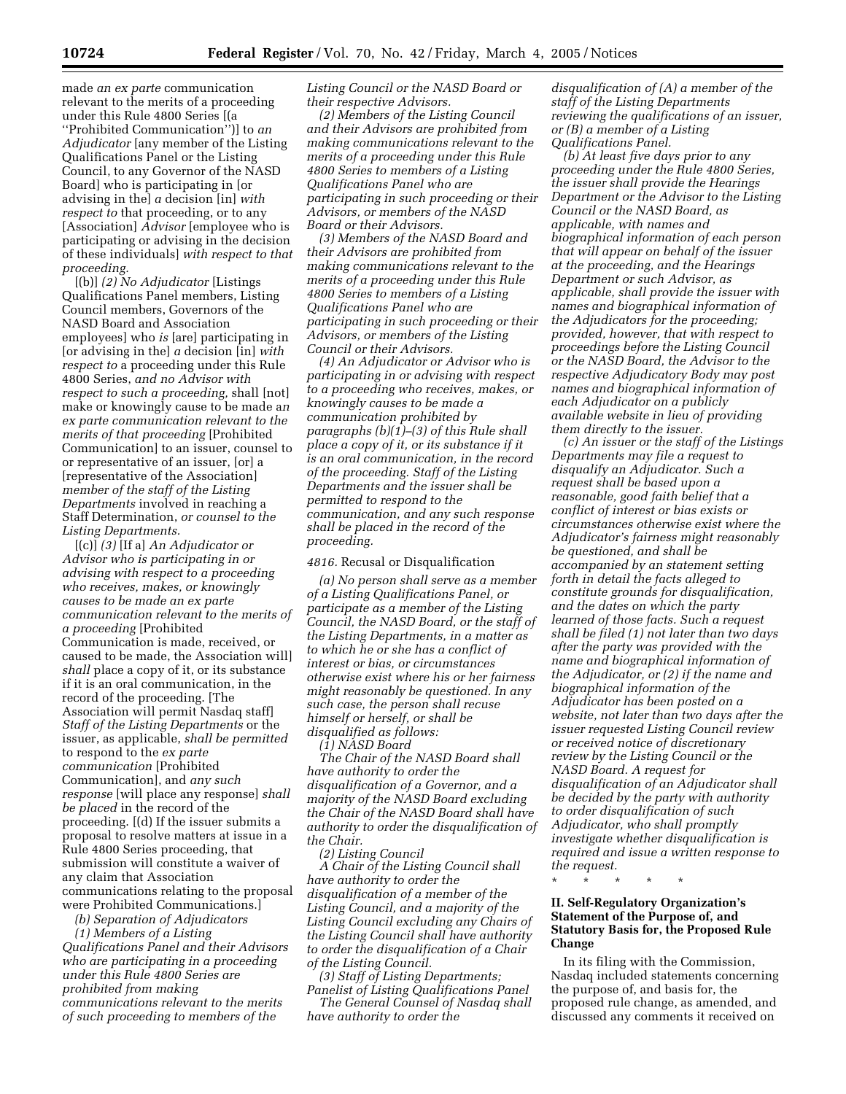made *an ex parte* communication relevant to the merits of a proceeding under this Rule 4800 Series [(a

''Prohibited Communication'')] to *an Adjudicator* [any member of the Listing Qualifications Panel or the Listing Council, to any Governor of the NASD Board] who is participating in [or advising in the] *a* decision [in] *with respect to* that proceeding, or to any [Association] *Advisor* [employee who is participating or advising in the decision of these individuals] *with respect to that proceeding.*

[(b)] *(2) No Adjudicator* [Listings Qualifications Panel members, Listing Council members, Governors of the NASD Board and Association employees] who *is* [are] participating in [or advising in the] *a* decision [in] *with respect to* a proceeding under this Rule 4800 Series, *and no Advisor with respect to such a proceeding,* shall [not] make or knowingly cause to be made a*n ex parte communication relevant to the merits of that proceeding* [Prohibited Communication] to an issuer, counsel to or representative of an issuer, [or] a [representative of the Association] *member of the staff of the Listing Departments* involved in reaching a Staff Determination, *or counsel to the Listing Departments.*

[(c)] *(3)* [If a] *An Adjudicator or Advisor who is participating in or advising with respect to a proceeding who receives, makes, or knowingly causes to be made an ex parte communication relevant to the merits of a proceeding* [Prohibited Communication is made, received, or caused to be made, the Association will] *shall* place a copy of it, or its substance if it is an oral communication, in the record of the proceeding. [The Association will permit Nasdaq staff] *Staff of the Listing Departments* or the issuer, as applicable, *shall be permitted* to respond to the *ex parte communication* [Prohibited Communication], and *any such response* [will place any response] *shall be placed* in the record of the proceeding. [(d) If the issuer submits a proposal to resolve matters at issue in a Rule 4800 Series proceeding, that submission will constitute a waiver of any claim that Association communications relating to the proposal were Prohibited Communications.]

*(b) Separation of Adjudicators (1) Members of a Listing Qualifications Panel and their Advisors* 

*who are participating in a proceeding under this Rule 4800 Series are prohibited from making communications relevant to the merits of such proceeding to members of the* 

*Listing Council or the NASD Board or their respective Advisors.*

*(2) Members of the Listing Council and their Advisors are prohibited from making communications relevant to the merits of a proceeding under this Rule 4800 Series to members of a Listing Qualifications Panel who are participating in such proceeding or their Advisors, or members of the NASD Board or their Advisors.*

*(3) Members of the NASD Board and their Advisors are prohibited from making communications relevant to the merits of a proceeding under this Rule 4800 Series to members of a Listing Qualifications Panel who are participating in such proceeding or their Advisors, or members of the Listing Council or their Advisors.*

*(4) An Adjudicator or Advisor who is participating in or advising with respect to a proceeding who receives, makes, or knowingly causes to be made a communication prohibited by paragraphs (b)(1)–(3) of this Rule shall place a copy of it, or its substance if it is an oral communication, in the record of the proceeding. Staff of the Listing Departments and the issuer shall be permitted to respond to the communication, and any such response shall be placed in the record of the proceeding.*

*4816.* Recusal or Disqualification

*(a) No person shall serve as a member of a Listing Qualifications Panel, or participate as a member of the Listing Council, the NASD Board, or the staff of the Listing Departments, in a matter as to which he or she has a conflict of interest or bias, or circumstances otherwise exist where his or her fairness might reasonably be questioned. In any such case, the person shall recuse himself or herself, or shall be disqualified as follows:*

*(1) NASD Board The Chair of the NASD Board shall* 

*have authority to order the disqualification of a Governor, and a majority of the NASD Board excluding the Chair of the NASD Board shall have authority to order the disqualification of the Chair.*

*(2) Listing Council*

*A Chair of the Listing Council shall have authority to order the disqualification of a member of the Listing Council, and a majority of the Listing Council excluding any Chairs of the Listing Council shall have authority to order the disqualification of a Chair of the Listing Council.*

*(3) Staff of Listing Departments; Panelist of Listing Qualifications Panel The General Counsel of Nasdaq shall have authority to order the* 

*disqualification of (A) a member of the staff of the Listing Departments reviewing the qualifications of an issuer, or (B) a member of a Listing Qualifications Panel.*

*(b) At least five days prior to any proceeding under the Rule 4800 Series, the issuer shall provide the Hearings Department or the Advisor to the Listing Council or the NASD Board, as applicable, with names and biographical information of each person that will appear on behalf of the issuer at the proceeding, and the Hearings Department or such Advisor, as applicable, shall provide the issuer with names and biographical information of the Adjudicators for the proceeding; provided, however, that with respect to proceedings before the Listing Council or the NASD Board, the Advisor to the respective Adjudicatory Body may post names and biographical information of each Adjudicator on a publicly available website in lieu of providing them directly to the issuer.*

*(c) An issuer or the staff of the Listings Departments may file a request to disqualify an Adjudicator. Such a request shall be based upon a reasonable, good faith belief that a conflict of interest or bias exists or circumstances otherwise exist where the Adjudicator's fairness might reasonably be questioned, and shall be accompanied by an statement setting forth in detail the facts alleged to constitute grounds for disqualification, and the dates on which the party learned of those facts. Such a request shall be filed (1) not later than two days after the party was provided with the name and biographical information of the Adjudicator, or (2) if the name and biographical information of the Adjudicator has been posted on a website, not later than two days after the issuer requested Listing Council review or received notice of discretionary review by the Listing Council or the NASD Board. A request for disqualification of an Adjudicator shall be decided by the party with authority to order disqualification of such Adjudicator, who shall promptly investigate whether disqualification is required and issue a written response to the request.*

\* \* \* \* \*

# **II. Self-Regulatory Organization's Statement of the Purpose of, and Statutory Basis for, the Proposed Rule Change**

In its filing with the Commission, Nasdaq included statements concerning the purpose of, and basis for, the proposed rule change, as amended, and discussed any comments it received on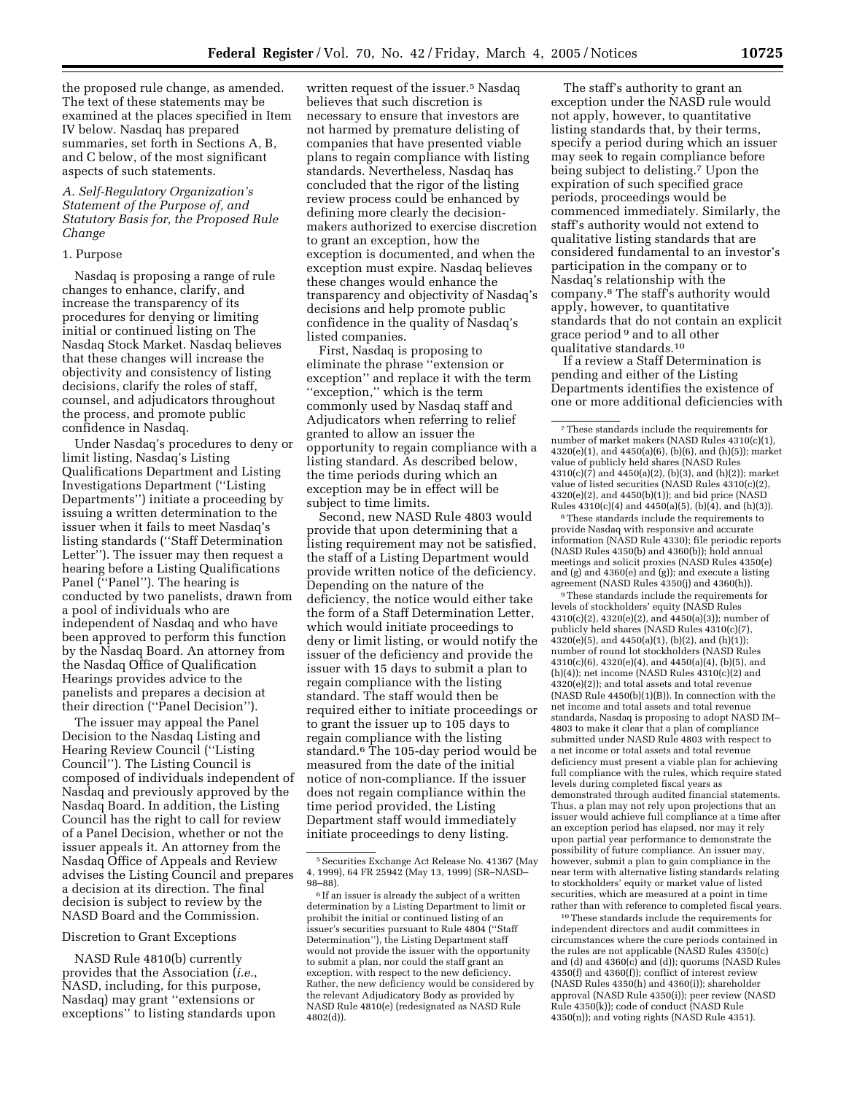the proposed rule change, as amended. The text of these statements may be examined at the places specified in Item IV below. Nasdaq has prepared summaries, set forth in Sections A, B, and C below, of the most significant aspects of such statements.

## *A. Self-Regulatory Organization's Statement of the Purpose of, and Statutory Basis for, the Proposed Rule Change*

## 1. Purpose

Nasdaq is proposing a range of rule changes to enhance, clarify, and increase the transparency of its procedures for denying or limiting initial or continued listing on The Nasdaq Stock Market. Nasdaq believes that these changes will increase the objectivity and consistency of listing decisions, clarify the roles of staff, counsel, and adjudicators throughout the process, and promote public confidence in Nasdaq.

Under Nasdaq's procedures to deny or limit listing, Nasdaq's Listing Qualifications Department and Listing Investigations Department (''Listing Departments'') initiate a proceeding by issuing a written determination to the issuer when it fails to meet Nasdaq's listing standards (''Staff Determination Letter''). The issuer may then request a hearing before a Listing Qualifications Panel (''Panel''). The hearing is conducted by two panelists, drawn from a pool of individuals who are independent of Nasdaq and who have been approved to perform this function by the Nasdaq Board. An attorney from the Nasdaq Office of Qualification Hearings provides advice to the panelists and prepares a decision at their direction (''Panel Decision'').

The issuer may appeal the Panel Decision to the Nasdaq Listing and Hearing Review Council (''Listing Council''). The Listing Council is composed of individuals independent of Nasdaq and previously approved by the Nasdaq Board. In addition, the Listing Council has the right to call for review of a Panel Decision, whether or not the issuer appeals it. An attorney from the Nasdaq Office of Appeals and Review advises the Listing Council and prepares a decision at its direction. The final decision is subject to review by the NASD Board and the Commission.

## Discretion to Grant Exceptions

NASD Rule 4810(b) currently provides that the Association (*i.e.*, NASD, including, for this purpose, Nasdaq) may grant ''extensions or exceptions'' to listing standards upon

written request of the issuer.<sup>5</sup> Nasdaq believes that such discretion is necessary to ensure that investors are not harmed by premature delisting of companies that have presented viable plans to regain compliance with listing standards. Nevertheless, Nasdaq has concluded that the rigor of the listing review process could be enhanced by defining more clearly the decisionmakers authorized to exercise discretion to grant an exception, how the exception is documented, and when the exception must expire. Nasdaq believes these changes would enhance the transparency and objectivity of Nasdaq's decisions and help promote public confidence in the quality of Nasdaq's listed companies.

First, Nasdaq is proposing to eliminate the phrase ''extension or exception'' and replace it with the term ''exception,'' which is the term commonly used by Nasdaq staff and Adjudicators when referring to relief granted to allow an issuer the opportunity to regain compliance with a listing standard. As described below, the time periods during which an exception may be in effect will be subject to time limits.

Second, new NASD Rule 4803 would provide that upon determining that a listing requirement may not be satisfied, the staff of a Listing Department would provide written notice of the deficiency. Depending on the nature of the deficiency, the notice would either take the form of a Staff Determination Letter, which would initiate proceedings to deny or limit listing, or would notify the issuer of the deficiency and provide the issuer with 15 days to submit a plan to regain compliance with the listing standard. The staff would then be required either to initiate proceedings or to grant the issuer up to 105 days to regain compliance with the listing standard.6 The 105-day period would be measured from the date of the initial notice of non-compliance. If the issuer does not regain compliance within the time period provided, the Listing Department staff would immediately initiate proceedings to deny listing.

The staff's authority to grant an exception under the NASD rule would not apply, however, to quantitative listing standards that, by their terms, specify a period during which an issuer may seek to regain compliance before being subject to delisting.7 Upon the expiration of such specified grace periods, proceedings would be commenced immediately. Similarly, the staff's authority would not extend to qualitative listing standards that are considered fundamental to an investor's participation in the company or to Nasdaq's relationship with the company.8 The staff's authority would apply, however, to quantitative standards that do not contain an explicit grace period 9 and to all other qualitative standards.10

If a review a Staff Determination is pending and either of the Listing Departments identifies the existence of one or more additional deficiencies with

8These standards include the requirements to provide Nasdaq with responsive and accurate information (NASD Rule 4330); file periodic reports  $(NASD Rules 4350(b) and 4360(b)); hold annual$ meetings and solicit proxies (NASD Rules 4350(e) and (g) and 4360(e) and (g)); and execute a listing agreement (NASD Rules 4350(j) and 4360(h)).

9These standards include the requirements for levels of stockholders' equity (NASD Rules 4310(c)(2), 4320(e)(2), and 4450(a)(3)); number of publicly held shares (NASD Rules 4310(c)(7), 4320(e)(5), and 4450(a)(1), (b)(2), and (h)(1)); number of round lot stockholders (NASD Rules 4310(c)(6), 4320(e)(4), and 4450(a)(4), (b)(5), and (h)(4)); net income (NASD Rules 4310(c)(2) and 4320(e)(2)); and total assets and total revenue (NASD Rule 4450(b)(1)(B)). In connection with the net income and total assets and total revenue standards, Nasdaq is proposing to adopt NASD IM– 4803 to make it clear that a plan of compliance submitted under NASD Rule 4803 with respect to a net income or total assets and total revenue deficiency must present a viable plan for achieving full compliance with the rules, which require stated levels during completed fiscal years as demonstrated through audited financial statements. Thus, a plan may not rely upon projections that an issuer would achieve full compliance at a time after an exception period has elapsed, nor may it rely upon partial year performance to demonstrate the possibility of future compliance. An issuer may, however, submit a plan to gain compliance in the near term with alternative listing standards relating to stockholders' equity or market value of listed securities, which are measured at a point in time rather than with reference to completed fiscal years.

10These standards include the requirements for independent directors and audit committees in circumstances where the cure periods contained in the rules are not applicable (NASD Rules 4350(c) and (d) and 4360(c) and (d)); quorums (NASD Rules 4350(f) and 4360(f)); conflict of interest review (NASD Rules 4350(h) and 4360(i)); shareholder approval (NASD Rule 4350(i)); peer review (NASD Rule 4350(k)); code of conduct (NASD Rule 4350(n)); and voting rights (NASD Rule 4351).

<sup>5</sup>Securities Exchange Act Release No. 41367 (May 4, 1999), 64 FR 25942 (May 13, 1999) (SR–NASD– 98–88).

<sup>&</sup>lt;sup>6</sup> If an issuer is already the subject of a written determination by a Listing Department to limit or prohibit the initial or continued listing of an issuer's securities pursuant to Rule 4804 (''Staff Determination''), the Listing Department staff would not provide the issuer with the opportunity to submit a plan, nor could the staff grant an exception, with respect to the new deficiency. Rather, the new deficiency would be considered by the relevant Adjudicatory Body as provided by NASD Rule 4810(e) (redesignated as NASD Rule 4802(d)).

<sup>7</sup>These standards include the requirements for number of market makers (NASD Rules 4310(c)(1), 4320(e)(1), and 4450(a)(6), (b)(6), and (h)(5)); market value of publicly held shares (NASD Rules 4310(c)( $\overline{7}$ ) and 4450(a)(2), (b)(3), and (h)(2)); market value of listed securities (NASD Rules 4310(c)(2), 4320(e)(2), and 4450(b)(1)); and bid price (NASD Rules  $4310(c)(4)$  and  $4450(a)(5)$ ,  $(b)(4)$ , and  $(h)(3)$ ).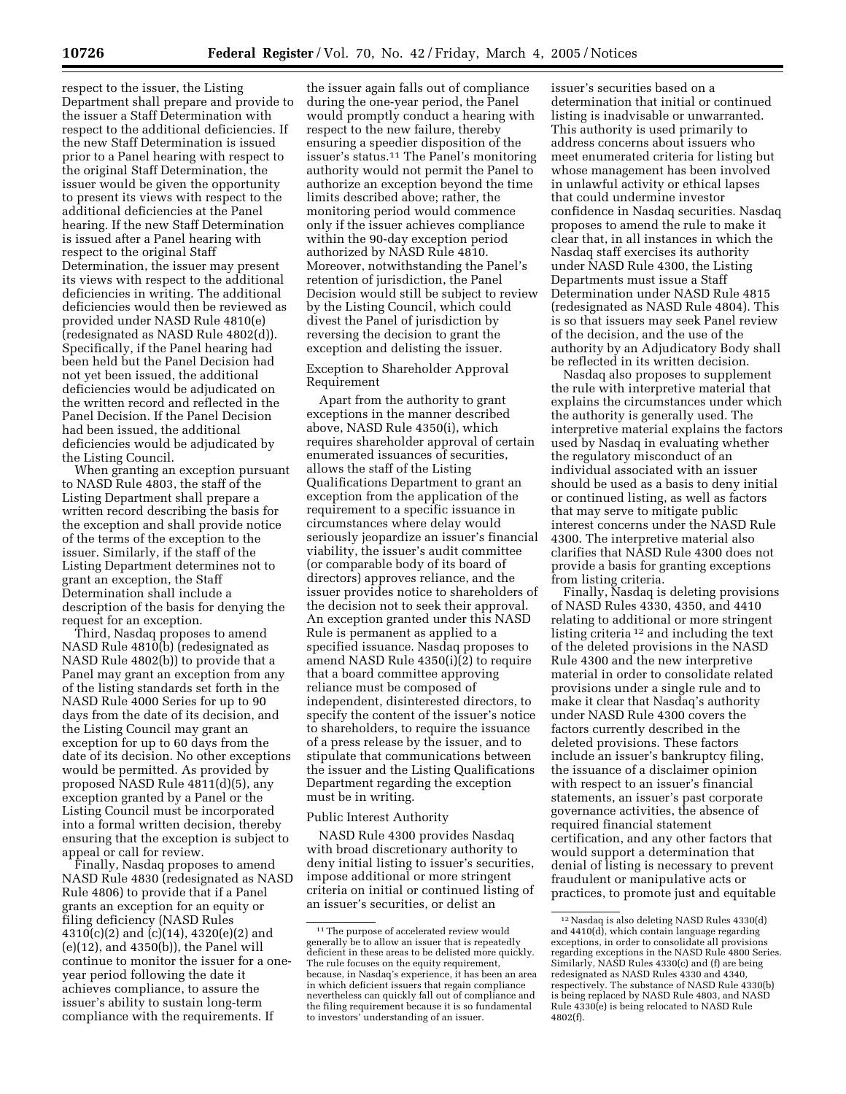respect to the issuer, the Listing Department shall prepare and provide to the issuer a Staff Determination with respect to the additional deficiencies. If the new Staff Determination is issued prior to a Panel hearing with respect to the original Staff Determination, the issuer would be given the opportunity to present its views with respect to the additional deficiencies at the Panel hearing. If the new Staff Determination is issued after a Panel hearing with respect to the original Staff Determination, the issuer may present its views with respect to the additional deficiencies in writing. The additional deficiencies would then be reviewed as provided under NASD Rule 4810(e) (redesignated as NASD Rule 4802(d)). Specifically, if the Panel hearing had been held but the Panel Decision had not yet been issued, the additional deficiencies would be adjudicated on the written record and reflected in the Panel Decision. If the Panel Decision had been issued, the additional deficiencies would be adjudicated by the Listing Council.

When granting an exception pursuant to NASD Rule 4803, the staff of the Listing Department shall prepare a written record describing the basis for the exception and shall provide notice of the terms of the exception to the issuer. Similarly, if the staff of the Listing Department determines not to grant an exception, the Staff Determination shall include a description of the basis for denying the request for an exception.

Third, Nasdaq proposes to amend NASD Rule 4810(b) (redesignated as NASD Rule 4802(b)) to provide that a Panel may grant an exception from any of the listing standards set forth in the NASD Rule 4000 Series for up to 90 days from the date of its decision, and the Listing Council may grant an exception for up to 60 days from the date of its decision. No other exceptions would be permitted. As provided by proposed NASD Rule 4811(d)(5), any exception granted by a Panel or the Listing Council must be incorporated into a formal written decision, thereby ensuring that the exception is subject to appeal or call for review.

Finally, Nasdaq proposes to amend NASD Rule 4830 (redesignated as NASD Rule 4806) to provide that if a Panel grants an exception for an equity or filing deficiency (NASD Rules 4310(c)(2) and (c)(14), 4320(e)(2) and (e)(12), and 4350(b)), the Panel will continue to monitor the issuer for a oneyear period following the date it achieves compliance, to assure the issuer's ability to sustain long-term compliance with the requirements. If

the issuer again falls out of compliance during the one-year period, the Panel would promptly conduct a hearing with respect to the new failure, thereby ensuring a speedier disposition of the issuer's status.11 The Panel's monitoring authority would not permit the Panel to authorize an exception beyond the time limits described above; rather, the monitoring period would commence only if the issuer achieves compliance within the 90-day exception period authorized by NASD Rule 4810. Moreover, notwithstanding the Panel's retention of jurisdiction, the Panel Decision would still be subject to review by the Listing Council, which could divest the Panel of jurisdiction by reversing the decision to grant the exception and delisting the issuer.

Exception to Shareholder Approval Requirement

Apart from the authority to grant exceptions in the manner described above, NASD Rule 4350(i), which requires shareholder approval of certain enumerated issuances of securities, allows the staff of the Listing Qualifications Department to grant an exception from the application of the requirement to a specific issuance in circumstances where delay would seriously jeopardize an issuer's financial viability, the issuer's audit committee (or comparable body of its board of directors) approves reliance, and the issuer provides notice to shareholders of the decision not to seek their approval. An exception granted under this NASD Rule is permanent as applied to a specified issuance. Nasdaq proposes to amend NASD Rule  $4350(i)(2)$  to require that a board committee approving reliance must be composed of independent, disinterested directors, to specify the content of the issuer's notice to shareholders, to require the issuance of a press release by the issuer, and to stipulate that communications between the issuer and the Listing Qualifications Department regarding the exception must be in writing.

#### Public Interest Authority

NASD Rule 4300 provides Nasdaq with broad discretionary authority to deny initial listing to issuer's securities, impose additional or more stringent criteria on initial or continued listing of an issuer's securities, or delist an

issuer's securities based on a determination that initial or continued listing is inadvisable or unwarranted. This authority is used primarily to address concerns about issuers who meet enumerated criteria for listing but whose management has been involved in unlawful activity or ethical lapses that could undermine investor confidence in Nasdaq securities. Nasdaq proposes to amend the rule to make it clear that, in all instances in which the Nasdaq staff exercises its authority under NASD Rule 4300, the Listing Departments must issue a Staff Determination under NASD Rule 4815 (redesignated as NASD Rule 4804). This is so that issuers may seek Panel review of the decision, and the use of the authority by an Adjudicatory Body shall be reflected in its written decision.

Nasdaq also proposes to supplement the rule with interpretive material that explains the circumstances under which the authority is generally used. The interpretive material explains the factors used by Nasdaq in evaluating whether the regulatory misconduct of an individual associated with an issuer should be used as a basis to deny initial or continued listing, as well as factors that may serve to mitigate public interest concerns under the NASD Rule 4300. The interpretive material also clarifies that NASD Rule 4300 does not provide a basis for granting exceptions from listing criteria.

Finally, Nasdaq is deleting provisions of NASD Rules 4330, 4350, and 4410 relating to additional or more stringent listing criteria 12 and including the text of the deleted provisions in the NASD Rule 4300 and the new interpretive material in order to consolidate related provisions under a single rule and to make it clear that Nasdaq's authority under NASD Rule 4300 covers the factors currently described in the deleted provisions. These factors include an issuer's bankruptcy filing, the issuance of a disclaimer opinion with respect to an issuer's financial statements, an issuer's past corporate governance activities, the absence of required financial statement certification, and any other factors that would support a determination that denial of listing is necessary to prevent fraudulent or manipulative acts or practices, to promote just and equitable

<sup>&</sup>lt;sup>11</sup>The purpose of accelerated review would generally be to allow an issuer that is repeatedly deficient in these areas to be delisted more quickly. The rule focuses on the equity requirement, because, in Nasdaq's experience, it has been an area in which deficient issuers that regain compliance nevertheless can quickly fall out of compliance and the filing requirement because it is so fundamental to investors' understanding of an issuer.

<sup>12</sup>Nasdaq is also deleting NASD Rules 4330(d) and 4410(d), which contain language regarding exceptions, in order to consolidate all provisions regarding exceptions in the NASD Rule 4800 Series. Similarly, NASD Rules 4330(c) and (f) are being redesignated as NASD Rules 4330 and 4340, respectively. The substance of NASD Rule 4330(b) is being replaced by NASD Rule 4803, and NASD Rule 4330(e) is being relocated to NASD Rule 4802(f).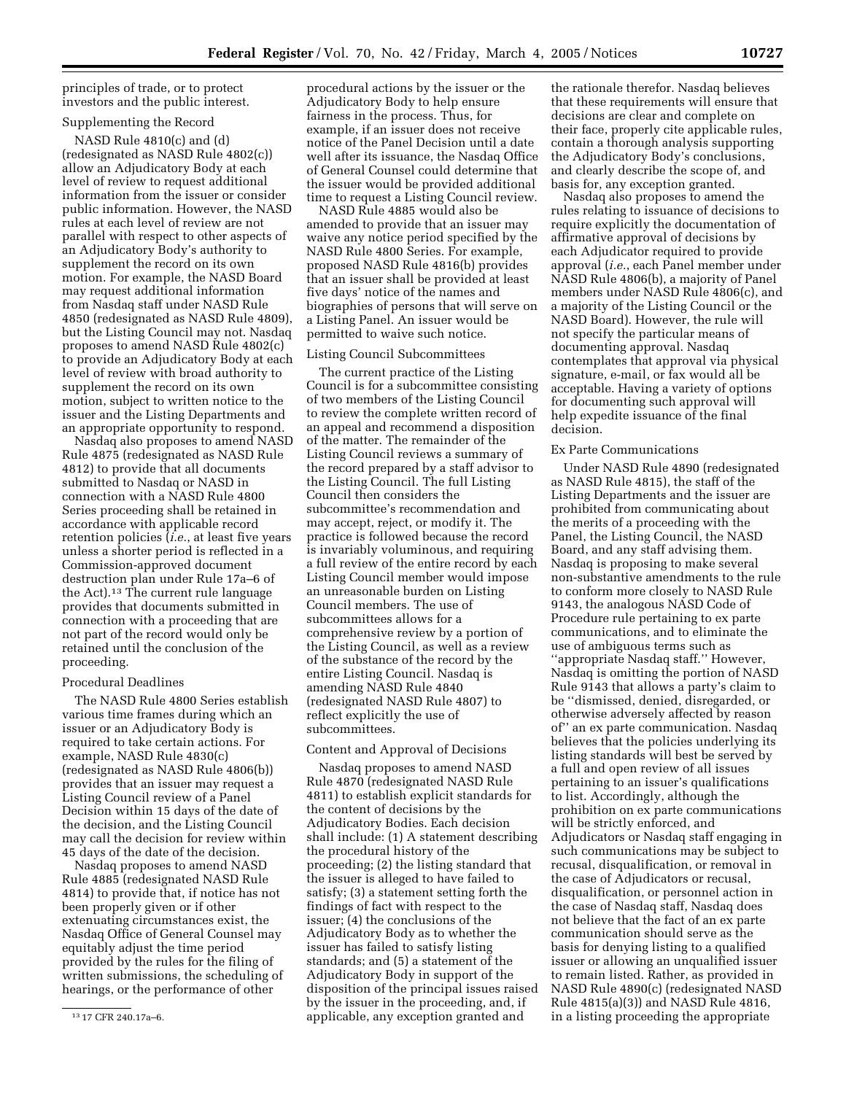principles of trade, or to protect investors and the public interest.

# Supplementing the Record

NASD Rule 4810(c) and (d) (redesignated as NASD Rule 4802(c)) allow an Adjudicatory Body at each level of review to request additional information from the issuer or consider public information. However, the NASD rules at each level of review are not parallel with respect to other aspects of an Adjudicatory Body's authority to supplement the record on its own motion. For example, the NASD Board may request additional information from Nasdaq staff under NASD Rule 4850 (redesignated as NASD Rule 4809), but the Listing Council may not. Nasdaq proposes to amend NASD Rule 4802(c) to provide an Adjudicatory Body at each level of review with broad authority to supplement the record on its own motion, subject to written notice to the issuer and the Listing Departments and an appropriate opportunity to respond.

Nasdaq also proposes to amend NASD Rule 4875 (redesignated as NASD Rule 4812) to provide that all documents submitted to Nasdaq or NASD in connection with a NASD Rule 4800 Series proceeding shall be retained in accordance with applicable record retention policies (*i.e.*, at least five years unless a shorter period is reflected in a Commission-approved document destruction plan under Rule 17a–6 of the Act).13 The current rule language provides that documents submitted in connection with a proceeding that are not part of the record would only be retained until the conclusion of the proceeding.

# Procedural Deadlines

The NASD Rule 4800 Series establish various time frames during which an issuer or an Adjudicatory Body is required to take certain actions. For example, NASD Rule 4830(c) (redesignated as NASD Rule 4806(b)) provides that an issuer may request a Listing Council review of a Panel Decision within 15 days of the date of the decision, and the Listing Council may call the decision for review within 45 days of the date of the decision.

Nasdaq proposes to amend NASD Rule 4885 (redesignated NASD Rule 4814) to provide that, if notice has not been properly given or if other extenuating circumstances exist, the Nasdaq Office of General Counsel may equitably adjust the time period provided by the rules for the filing of written submissions, the scheduling of hearings, or the performance of other

procedural actions by the issuer or the Adjudicatory Body to help ensure fairness in the process. Thus, for example, if an issuer does not receive notice of the Panel Decision until a date well after its issuance, the Nasdaq Office of General Counsel could determine that the issuer would be provided additional time to request a Listing Council review.

NASD Rule 4885 would also be amended to provide that an issuer may waive any notice period specified by the NASD Rule 4800 Series. For example, proposed NASD Rule 4816(b) provides that an issuer shall be provided at least five days' notice of the names and biographies of persons that will serve on a Listing Panel. An issuer would be permitted to waive such notice.

# Listing Council Subcommittees

The current practice of the Listing Council is for a subcommittee consisting of two members of the Listing Council to review the complete written record of an appeal and recommend a disposition of the matter. The remainder of the Listing Council reviews a summary of the record prepared by a staff advisor to the Listing Council. The full Listing Council then considers the subcommittee's recommendation and may accept, reject, or modify it. The practice is followed because the record is invariably voluminous, and requiring a full review of the entire record by each Listing Council member would impose an unreasonable burden on Listing Council members. The use of subcommittees allows for a comprehensive review by a portion of the Listing Council, as well as a review of the substance of the record by the entire Listing Council. Nasdaq is amending NASD Rule 4840 (redesignated NASD Rule 4807) to reflect explicitly the use of subcommittees.

#### Content and Approval of Decisions

Nasdaq proposes to amend NASD Rule 4870 (redesignated NASD Rule 4811) to establish explicit standards for the content of decisions by the Adjudicatory Bodies. Each decision shall include: (1) A statement describing the procedural history of the proceeding; (2) the listing standard that the issuer is alleged to have failed to satisfy; (3) a statement setting forth the findings of fact with respect to the issuer; (4) the conclusions of the Adjudicatory Body as to whether the issuer has failed to satisfy listing standards; and (5) a statement of the Adjudicatory Body in support of the disposition of the principal issues raised by the issuer in the proceeding, and, if applicable, any exception granted and

the rationale therefor. Nasdaq believes that these requirements will ensure that decisions are clear and complete on their face, properly cite applicable rules, contain a thorough analysis supporting the Adjudicatory Body's conclusions, and clearly describe the scope of, and basis for, any exception granted.

Nasdaq also proposes to amend the rules relating to issuance of decisions to require explicitly the documentation of affirmative approval of decisions by each Adjudicator required to provide approval (*i.e.*, each Panel member under NASD Rule 4806(b), a majority of Panel members under NASD Rule 4806(c), and a majority of the Listing Council or the NASD Board). However, the rule will not specify the particular means of documenting approval. Nasdaq contemplates that approval via physical signature, e-mail, or fax would all be acceptable. Having a variety of options for documenting such approval will help expedite issuance of the final decision.

# Ex Parte Communications

Under NASD Rule 4890 (redesignated as NASD Rule 4815), the staff of the Listing Departments and the issuer are prohibited from communicating about the merits of a proceeding with the Panel, the Listing Council, the NASD Board, and any staff advising them. Nasdaq is proposing to make several non-substantive amendments to the rule to conform more closely to NASD Rule 9143, the analogous NASD Code of Procedure rule pertaining to ex parte communications, and to eliminate the use of ambiguous terms such as ''appropriate Nasdaq staff.'' However, Nasdaq is omitting the portion of NASD Rule 9143 that allows a party's claim to be ''dismissed, denied, disregarded, or otherwise adversely affected by reason of'' an ex parte communication. Nasdaq believes that the policies underlying its listing standards will best be served by a full and open review of all issues pertaining to an issuer's qualifications to list. Accordingly, although the prohibition on ex parte communications will be strictly enforced, and Adjudicators or Nasdaq staff engaging in such communications may be subject to recusal, disqualification, or removal in the case of Adjudicators or recusal, disqualification, or personnel action in the case of Nasdaq staff, Nasdaq does not believe that the fact of an ex parte communication should serve as the basis for denying listing to a qualified issuer or allowing an unqualified issuer to remain listed. Rather, as provided in NASD Rule 4890(c) (redesignated NASD Rule 4815(a)(3)) and NASD Rule 4816, in a listing proceeding the appropriate

<sup>13</sup> 17 CFR 240.17a–6.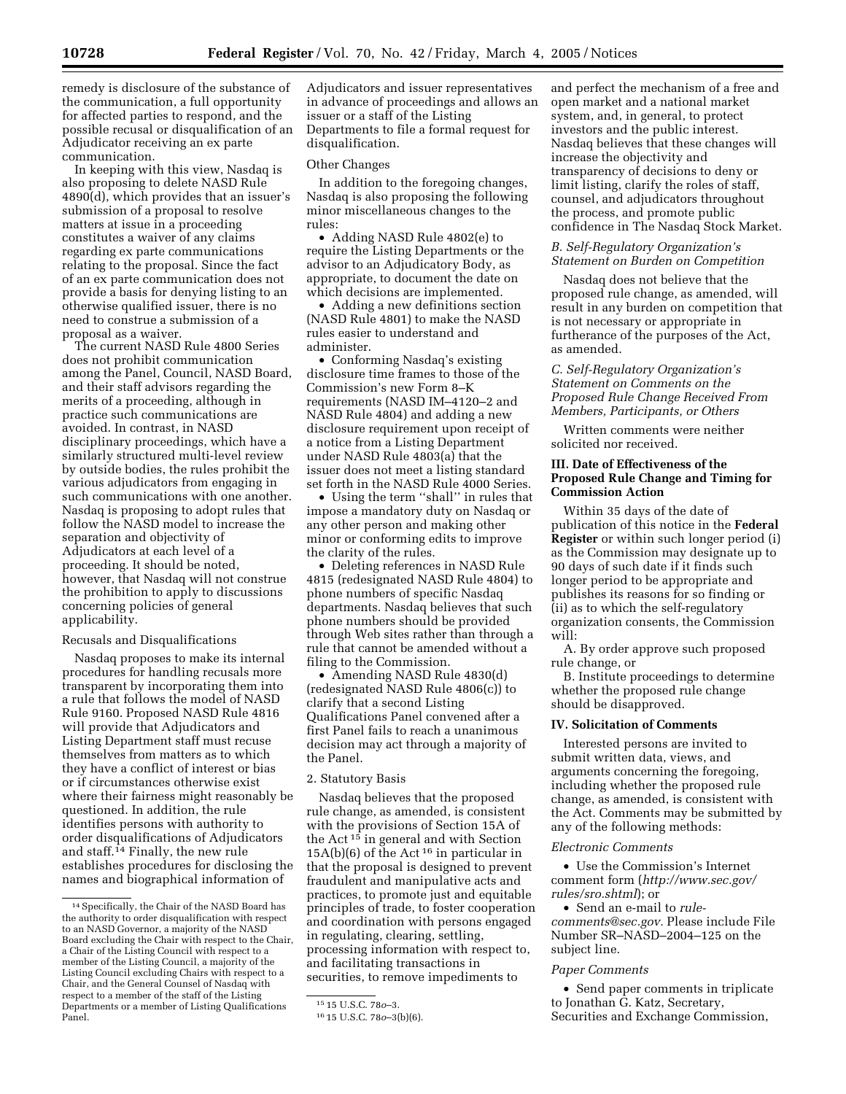remedy is disclosure of the substance of the communication, a full opportunity for affected parties to respond, and the possible recusal or disqualification of an Adjudicator receiving an ex parte communication.

In keeping with this view, Nasdaq is also proposing to delete NASD Rule 4890(d), which provides that an issuer's submission of a proposal to resolve matters at issue in a proceeding constitutes a waiver of any claims regarding ex parte communications relating to the proposal. Since the fact of an ex parte communication does not provide a basis for denying listing to an otherwise qualified issuer, there is no need to construe a submission of a proposal as a waiver.

The current NASD Rule 4800 Series does not prohibit communication among the Panel, Council, NASD Board, and their staff advisors regarding the merits of a proceeding, although in practice such communications are avoided. In contrast, in NASD disciplinary proceedings, which have a similarly structured multi-level review by outside bodies, the rules prohibit the various adjudicators from engaging in such communications with one another. Nasdaq is proposing to adopt rules that follow the NASD model to increase the separation and objectivity of Adjudicators at each level of a proceeding. It should be noted, however, that Nasdaq will not construe the prohibition to apply to discussions concerning policies of general applicability.

#### Recusals and Disqualifications

Nasdaq proposes to make its internal procedures for handling recusals more transparent by incorporating them into a rule that follows the model of NASD Rule 9160. Proposed NASD Rule 4816 will provide that Adjudicators and Listing Department staff must recuse themselves from matters as to which they have a conflict of interest or bias or if circumstances otherwise exist where their fairness might reasonably be questioned. In addition, the rule identifies persons with authority to order disqualifications of Adjudicators and staff.14 Finally, the new rule establishes procedures for disclosing the names and biographical information of

Adjudicators and issuer representatives in advance of proceedings and allows an issuer or a staff of the Listing Departments to file a formal request for disqualification.

#### Other Changes

In addition to the foregoing changes, Nasdaq is also proposing the following minor miscellaneous changes to the rules:

• Adding NASD Rule 4802(e) to require the Listing Departments or the advisor to an Adjudicatory Body, as appropriate, to document the date on which decisions are implemented.

• Adding a new definitions section (NASD Rule 4801) to make the NASD rules easier to understand and administer.

• Conforming Nasdaq's existing disclosure time frames to those of the Commission's new Form 8–K requirements (NASD IM–4120–2 and NASD Rule 4804) and adding a new disclosure requirement upon receipt of a notice from a Listing Department under NASD Rule 4803(a) that the issuer does not meet a listing standard set forth in the NASD Rule 4000 Series.

• Using the term ''shall'' in rules that impose a mandatory duty on Nasdaq or any other person and making other minor or conforming edits to improve the clarity of the rules.

• Deleting references in NASD Rule 4815 (redesignated NASD Rule 4804) to phone numbers of specific Nasdaq departments. Nasdaq believes that such phone numbers should be provided through Web sites rather than through a rule that cannot be amended without a filing to the Commission.

• Amending NASD Rule 4830(d) (redesignated NASD Rule 4806(c)) to clarify that a second Listing Qualifications Panel convened after a first Panel fails to reach a unanimous decision may act through a majority of the Panel.

#### 2. Statutory Basis

Nasdaq believes that the proposed rule change, as amended, is consistent with the provisions of Section 15A of the Act 15 in general and with Section  $15A(b)(6)$  of the Act<sup>16</sup> in particular in that the proposal is designed to prevent fraudulent and manipulative acts and practices, to promote just and equitable principles of trade, to foster cooperation and coordination with persons engaged in regulating, clearing, settling, processing information with respect to, and facilitating transactions in securities, to remove impediments to

and perfect the mechanism of a free and open market and a national market system, and, in general, to protect investors and the public interest. Nasdaq believes that these changes will increase the objectivity and transparency of decisions to deny or limit listing, clarify the roles of staff, counsel, and adjudicators throughout the process, and promote public confidence in The Nasdaq Stock Market.

# *B. Self-Regulatory Organization's Statement on Burden on Competition*

Nasdaq does not believe that the proposed rule change, as amended, will result in any burden on competition that is not necessary or appropriate in furtherance of the purposes of the Act, as amended.

# *C. Self-Regulatory Organization's Statement on Comments on the Proposed Rule Change Received From Members, Participants, or Others*

Written comments were neither solicited nor received.

## **III. Date of Effectiveness of the Proposed Rule Change and Timing for Commission Action**

Within 35 days of the date of publication of this notice in the **Federal Register** or within such longer period (i) as the Commission may designate up to 90 days of such date if it finds such longer period to be appropriate and publishes its reasons for so finding or (ii) as to which the self-regulatory organization consents, the Commission will:

A. By order approve such proposed rule change, or

B. Institute proceedings to determine whether the proposed rule change should be disapproved.

## **IV. Solicitation of Comments**

Interested persons are invited to submit written data, views, and arguments concerning the foregoing, including whether the proposed rule change, as amended, is consistent with the Act. Comments may be submitted by any of the following methods:

#### *Electronic Comments*

• Use the Commission's Internet comment form (*http://www.sec.gov/ rules/sro.shtml*); or

• Send an e-mail to *rulecomments@sec.gov.* Please include File Number SR–NASD–2004–125 on the subject line.

#### *Paper Comments*

• Send paper comments in triplicate to Jonathan G. Katz, Secretary, Securities and Exchange Commission,

<sup>14</sup>Specifically, the Chair of the NASD Board has the authority to order disqualification with respect to an NASD Governor, a majority of the NASD Board excluding the Chair with respect to the Chair, a Chair of the Listing Council with respect to a member of the Listing Council, a majority of the Listing Council excluding Chairs with respect to a Chair, and the General Counsel of Nasdaq with respect to a member of the staff of the Listing Departments or a member of Listing Qualifications Panel.

<sup>15</sup> 15 U.S.C. 78*o*–3.

<sup>16</sup> 15 U.S.C. 78*o*–3(b)(6).